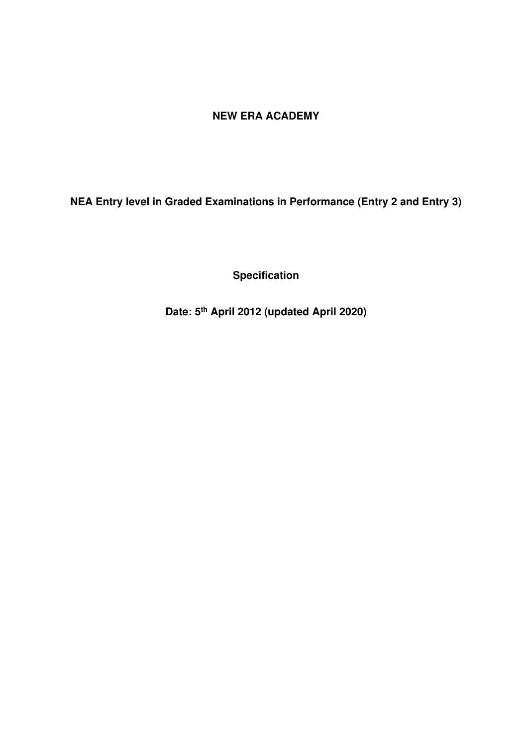# **NEW ERA ACADEMY**

**NEA Entry level in Graded Examinations in Performance (Entry 2 and Entry 3)** 

**Specification** 

**Date: 5th April 2012 (updated April 2020)**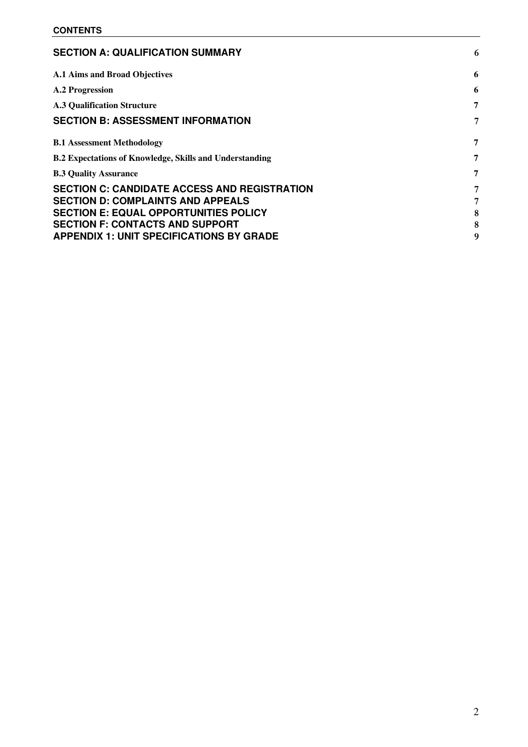| 6                |
|------------------|
| 6                |
| 6                |
| 7                |
| 7                |
| 7                |
| 7                |
| 7                |
| 7<br>8<br>8<br>g |
|                  |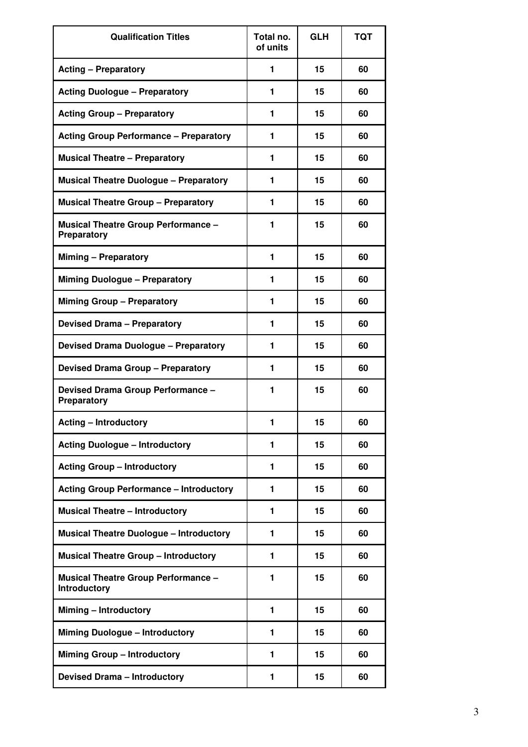| <b>Qualification Titles</b>                                | Total no.<br>of units | <b>GLH</b> | <b>TQT</b> |
|------------------------------------------------------------|-----------------------|------------|------------|
| <b>Acting - Preparatory</b>                                | 1                     | 15         | 60         |
| <b>Acting Duologue - Preparatory</b>                       | 1                     | 15         | 60         |
| <b>Acting Group - Preparatory</b>                          | 1                     | 15         | 60         |
| <b>Acting Group Performance - Preparatory</b>              | 1                     | 15         | 60         |
| <b>Musical Theatre - Preparatory</b>                       | 1                     | 15         | 60         |
| <b>Musical Theatre Duologue - Preparatory</b>              | 1                     | 15         | 60         |
| <b>Musical Theatre Group - Preparatory</b>                 | 1                     | 15         | 60         |
| <b>Musical Theatre Group Performance -</b><br>Preparatory  | 1                     | 15         | 60         |
| <b>Miming - Preparatory</b>                                | 1                     | 15         | 60         |
| <b>Miming Duologue - Preparatory</b>                       | 1                     | 15         | 60         |
| <b>Miming Group - Preparatory</b>                          | 1                     | 15         | 60         |
| <b>Devised Drama - Preparatory</b>                         | 1                     | 15         | 60         |
| <b>Devised Drama Duologue - Preparatory</b>                | 1                     | 15         | 60         |
| <b>Devised Drama Group - Preparatory</b>                   | 1                     | 15         | 60         |
| Devised Drama Group Performance -<br><b>Preparatory</b>    | 1                     | 15         | 60         |
| <b>Acting - Introductory</b>                               |                       | 15         | 60         |
| <b>Acting Duologue - Introductory</b>                      | 1                     | 15         | 60         |
| <b>Acting Group - Introductory</b>                         | 1                     | 15         | 60         |
| <b>Acting Group Performance - Introductory</b>             | 1                     | 15         | 60         |
| <b>Musical Theatre - Introductory</b>                      | 1                     | 15         | 60         |
| <b>Musical Theatre Duologue - Introductory</b>             | 1                     | 15         | 60         |
| <b>Musical Theatre Group - Introductory</b>                | 1                     | 15         | 60         |
| <b>Musical Theatre Group Performance -</b><br>Introductory | 1                     | 15         | 60         |
| Miming - Introductory                                      | 1                     | 15         | 60         |
| <b>Miming Duologue - Introductory</b>                      | 1                     | 15         | 60         |
| <b>Miming Group - Introductory</b>                         | 1                     | 15         | 60         |
| <b>Devised Drama - Introductory</b>                        | 1                     | 15         | 60         |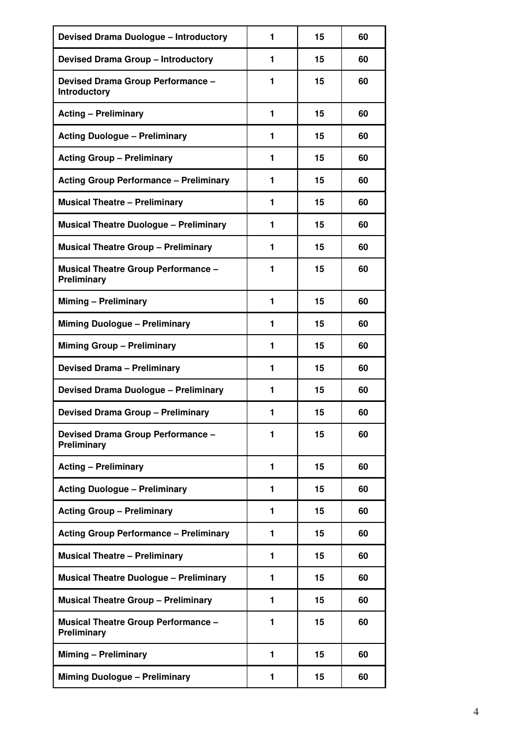| <b>Devised Drama Duologue - Introductory</b>              | 1 | 15 | 60 |
|-----------------------------------------------------------|---|----|----|
| <b>Devised Drama Group - Introductory</b>                 | 1 | 15 | 60 |
| Devised Drama Group Performance -<br>Introductory         | 1 | 15 | 60 |
| <b>Acting - Preliminary</b>                               | 1 | 15 | 60 |
| <b>Acting Duologue - Preliminary</b>                      | 1 | 15 | 60 |
| <b>Acting Group - Preliminary</b>                         | 1 | 15 | 60 |
| <b>Acting Group Performance - Preliminary</b>             | 1 | 15 | 60 |
| <b>Musical Theatre - Preliminary</b>                      | 1 | 15 | 60 |
| <b>Musical Theatre Duologue - Preliminary</b>             | 1 | 15 | 60 |
| <b>Musical Theatre Group - Preliminary</b>                | 1 | 15 | 60 |
| <b>Musical Theatre Group Performance -</b><br>Preliminary | 1 | 15 | 60 |
| Miming - Preliminary                                      | 1 | 15 | 60 |
| <b>Miming Duologue - Preliminary</b>                      | 1 | 15 | 60 |
| <b>Miming Group - Preliminary</b>                         | 1 | 15 | 60 |
| <b>Devised Drama - Preliminary</b>                        | 1 | 15 | 60 |
| <b>Devised Drama Duologue - Preliminary</b>               | 1 | 15 | 60 |
| <b>Devised Drama Group - Preliminary</b>                  | 1 | 15 | 60 |
| Devised Drama Group Performance -<br>Preliminary          | 1 | 15 | 60 |
| <b>Acting - Preliminary</b>                               | 1 | 15 | 60 |
| <b>Acting Duologue - Preliminary</b>                      | 1 | 15 | 60 |
| <b>Acting Group - Preliminary</b>                         | 1 | 15 | 60 |
| <b>Acting Group Performance - Preliminary</b>             | 1 | 15 | 60 |
| <b>Musical Theatre - Preliminary</b>                      | 1 | 15 | 60 |
| <b>Musical Theatre Duologue - Preliminary</b>             | 1 | 15 | 60 |
| <b>Musical Theatre Group - Preliminary</b>                | 1 | 15 | 60 |
| <b>Musical Theatre Group Performance -</b><br>Preliminary | 1 | 15 | 60 |
| <b>Miming - Preliminary</b>                               | 1 | 15 | 60 |
| <b>Miming Duologue - Preliminary</b>                      | 1 | 15 | 60 |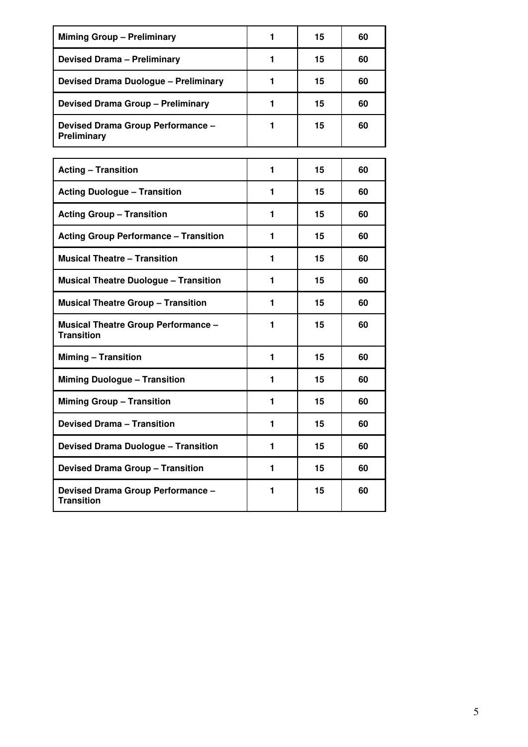| <b>Miming Group - Preliminary</b>                               | 1              | 15 | 60 |
|-----------------------------------------------------------------|----------------|----|----|
| <b>Devised Drama - Preliminary</b>                              | 1              | 15 | 60 |
| <b>Devised Drama Duologue - Preliminary</b>                     | 1              | 15 | 60 |
| <b>Devised Drama Group - Preliminary</b>                        | 1              | 15 | 60 |
| Devised Drama Group Performance -<br>Preliminary                | 1              | 15 | 60 |
|                                                                 |                |    |    |
| <b>Acting - Transition</b>                                      | 1              | 15 | 60 |
| <b>Acting Duologue - Transition</b>                             | 1              | 15 | 60 |
| <b>Acting Group - Transition</b>                                | 1              | 15 | 60 |
| <b>Acting Group Performance - Transition</b>                    | 1              | 15 | 60 |
| <b>Musical Theatre - Transition</b>                             | 1              | 15 | 60 |
| <b>Musical Theatre Duologue - Transition</b>                    | 1              | 15 | 60 |
| <b>Musical Theatre Group - Transition</b>                       | 1              | 15 | 60 |
| <b>Musical Theatre Group Performance -</b><br><b>Transition</b> | 1              | 15 | 60 |
| <b>Miming - Transition</b>                                      | 1              | 15 | 60 |
| <b>Miming Duologue - Transition</b>                             | 1              | 15 | 60 |
| <b>Miming Group - Transition</b>                                | 1              | 15 | 60 |
| <b>Devised Drama - Transition</b>                               | 1              | 15 | 60 |
| <b>Devised Drama Duologue - Transition</b>                      | $\blacksquare$ | 15 | 60 |
| <b>Devised Drama Group - Transition</b>                         | 1              | 15 | 60 |
| Devised Drama Group Performance -<br><b>Transition</b>          | 1              | 15 | 60 |
|                                                                 |                |    |    |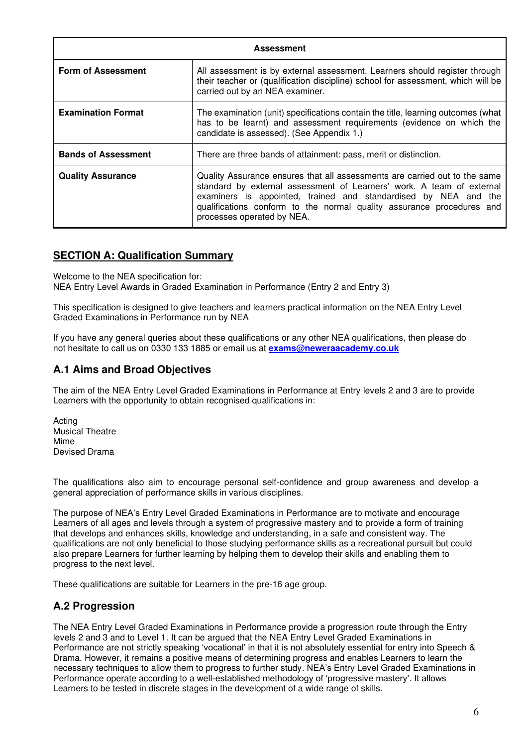| <b>Assessment</b>          |                                                                                                                                                                                                                                                                                                                               |  |  |  |  |  |
|----------------------------|-------------------------------------------------------------------------------------------------------------------------------------------------------------------------------------------------------------------------------------------------------------------------------------------------------------------------------|--|--|--|--|--|
| <b>Form of Assessment</b>  | All assessment is by external assessment. Learners should register through<br>their teacher or (qualification discipline) school for assessment, which will be<br>carried out by an NEA examiner.                                                                                                                             |  |  |  |  |  |
| <b>Examination Format</b>  | The examination (unit) specifications contain the title, learning outcomes (what<br>has to be learnt) and assessment requirements (evidence on which the<br>candidate is assessed). (See Appendix 1.)                                                                                                                         |  |  |  |  |  |
| <b>Bands of Assessment</b> | There are three bands of attainment: pass, merit or distinction.                                                                                                                                                                                                                                                              |  |  |  |  |  |
| <b>Quality Assurance</b>   | Quality Assurance ensures that all assessments are carried out to the same<br>standard by external assessment of Learners' work. A team of external<br>examiners is appointed, trained and standardised by NEA and the<br>qualifications conform to the normal quality assurance procedures and<br>processes operated by NEA. |  |  |  |  |  |

### <span id="page-5-0"></span>**SECTION A: Qualification Summary**

Welcome to the NEA specification for:

NEA Entry Level Awards in Graded Examination in Performance (Entry 2 and Entry 3)

This specification is designed to give teachers and learners practical information on the NEA Entry Level Graded Examinations in Performance run by NEA

If you have any general queries about these qualifications or any other NEA qualifications, then please do not hesitate to call us on 0330 133 1885 or email us at **exams@neweraacademy.co.uk**

## <span id="page-5-1"></span>**A.1 Aims and Broad Objectives**

The aim of the NEA Entry Level Graded Examinations in Performance at Entry levels 2 and 3 are to provide Learners with the opportunity to obtain recognised qualifications in:

Acting Musical Theatre Mime Devised Drama

The qualifications also aim to encourage personal self-confidence and group awareness and develop a general appreciation of performance skills in various disciplines.

The purpose of NEA's Entry Level Graded Examinations in Performance are to motivate and encourage Learners of all ages and levels through a system of progressive mastery and to provide a form of training that develops and enhances skills, knowledge and understanding, in a safe and consistent way. The qualifications are not only beneficial to those studying performance skills as a recreational pursuit but could also prepare Learners for further learning by helping them to develop their skills and enabling them to progress to the next level.

These qualifications are suitable for Learners in the pre-16 age group.

## <span id="page-5-2"></span>**A.2 Progression**

The NEA Entry Level Graded Examinations in Performance provide a progression route through the Entry levels 2 and 3 and to Level 1. It can be argued that the NEA Entry Level Graded Examinations in Performance are not strictly speaking 'vocational' in that it is not absolutely essential for entry into Speech & Drama. However, it remains a positive means of determining progress and enables Learners to learn the necessary techniques to allow them to progress to further study. NEA's Entry Level Graded Examinations in Performance operate according to a well-established methodology of 'progressive mastery'. It allows Learners to be tested in discrete stages in the development of a wide range of skills.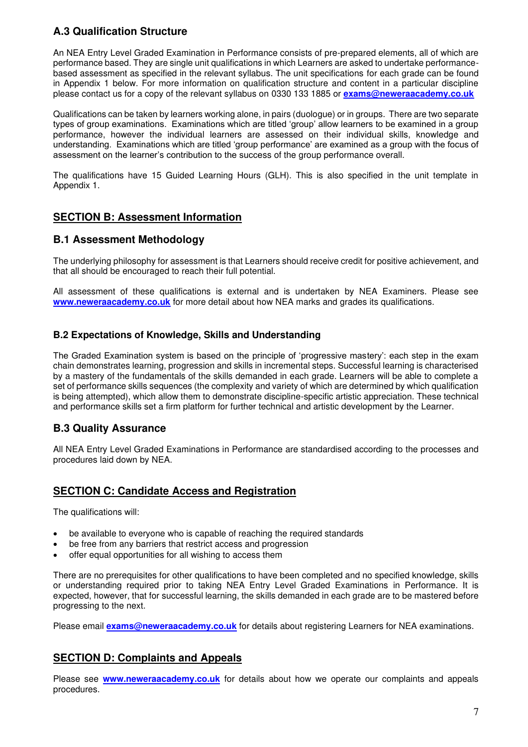# <span id="page-6-0"></span>**A.3 Qualification Structure**

An NEA Entry Level Graded Examination in Performance consists of pre-prepared elements, all of which are performance based. They are single unit qualifications in which Learners are asked to undertake performancebased assessment as specified in the relevant syllabus. The unit specifications for each grade can be found in Appendix 1 below. For more information on qualification structure and content in a particular discipline please contact us for a copy of the relevant syllabus on 0330 133 1885 or **[exams@neweraacademy.co.uk](mailto:exams@neweraacademy.co.uk)** 

Qualifications can be taken by learners working alone, in pairs (duologue) or in groups. There are two separate types of group examinations. Examinations which are titled 'group' allow learners to be examined in a group performance, however the individual learners are assessed on their individual skills, knowledge and understanding. Examinations which are titled 'group performance' are examined as a group with the focus of assessment on the learner's contribution to the success of the group performance overall.

The qualifications have 15 Guided Learning Hours (GLH). This is also specified in the unit template in Appendix 1.

## <span id="page-6-1"></span>**SECTION B: Assessment Information**

### <span id="page-6-2"></span>**B.1 Assessment Methodology**

The underlying philosophy for assessment is that Learners should receive credit for positive achievement, and that all should be encouraged to reach their full potential.

All assessment of these qualifications is external and is undertaken by NEA Examiners. Please see **[www.neweraacademy.co.uk](http://www.neweraacademy.co.uk/)** for more detail about how NEA marks and grades its qualifications.

### <span id="page-6-3"></span>**B.2 Expectations of Knowledge, Skills and Understanding**

The Graded Examination system is based on the principle of 'progressive mastery': each step in the exam chain demonstrates learning, progression and skills in incremental steps. Successful learning is characterised by a mastery of the fundamentals of the skills demanded in each grade. Learners will be able to complete a set of performance skills sequences (the complexity and variety of which are determined by which qualification is being attempted), which allow them to demonstrate discipline-specific artistic appreciation. These technical and performance skills set a firm platform for further technical and artistic development by the Learner.

## <span id="page-6-4"></span>**B.3 Quality Assurance**

All NEA Entry Level Graded Examinations in Performance are standardised according to the processes and procedures laid down by NEA.

### <span id="page-6-5"></span>**SECTION C: Candidate Access and Registration**

The qualifications will:

- be available to everyone who is capable of reaching the required standards
- be free from any barriers that restrict access and progression
- offer equal opportunities for all wishing to access them

There are no prerequisites for other qualifications to have been completed and no specified knowledge, skills or understanding required prior to taking NEA Entry Level Graded Examinations in Performance. It is expected, however, that for successful learning, the skills demanded in each grade are to be mastered before progressing to the next.

Please email **[exams@neweraacademy.co.uk](mailto:exams@neweraacademy.co.uk)** for details about registering Learners for NEA examinations.

### <span id="page-6-6"></span>**SECTION D: Complaints and Appeals**

Please see **[www.neweraacademy.co.uk](http://www.neweraacademy.co.uk/)** for details about how we operate our complaints and appeals procedures.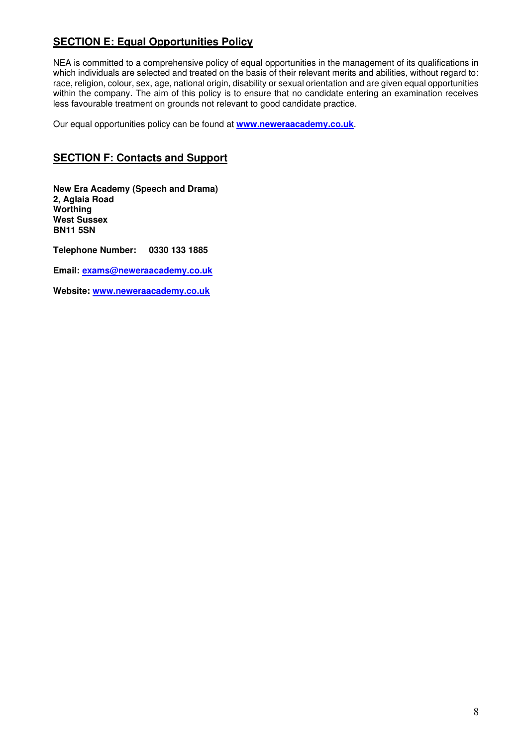# <span id="page-7-0"></span>**SECTION E: Equal Opportunities Policy**

NEA is committed to a comprehensive policy of equal opportunities in the management of its qualifications in which individuals are selected and treated on the basis of their relevant merits and abilities, without regard to: race, religion, colour, sex, age, national origin, disability or sexual orientation and are given equal opportunities within the company. The aim of this policy is to ensure that no candidate entering an examination receives less favourable treatment on grounds not relevant to good candidate practice.

Our equal opportunities policy can be found at **[www.neweraacademy.co.uk](http://www.neweraacademy.co.uk/)**.

## <span id="page-7-1"></span>**SECTION F: Contacts and Support**

**New Era Academy (Speech and Drama) 2, Aglaia Road Worthing West Sussex BN11 5SN** 

**Telephone Number: 0330 133 1885** 

**Email: [exams@neweraacademy.co.uk](mailto:exams@neweraacademy.co.uk)** 

**Website: [www.neweraacademy.co.uk](http://www.neweraacademy.co.uk/)**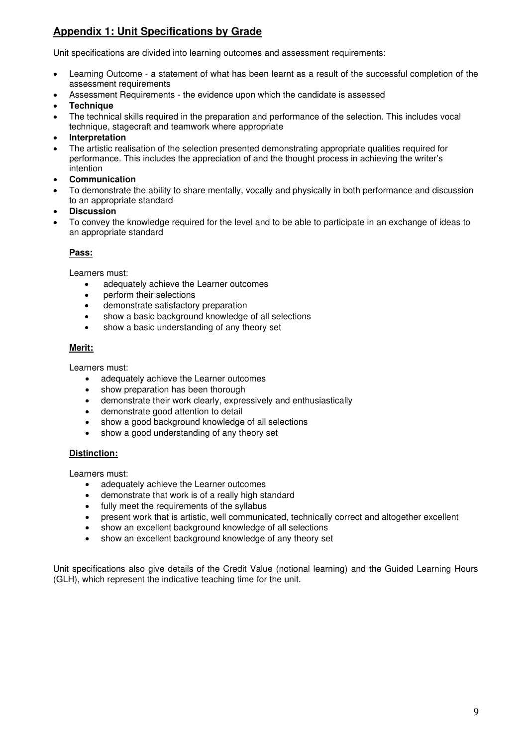# <span id="page-8-0"></span>**Appendix 1: Unit Specifications by Grade**

Unit specifications are divided into learning outcomes and assessment requirements:

- Learning Outcome a statement of what has been learnt as a result of the successful completion of the assessment requirements
- Assessment Requirements the evidence upon which the candidate is assessed
- **Technique**
- The technical skills required in the preparation and performance of the selection. This includes vocal technique, stagecraft and teamwork where appropriate
- **Interpretation**
- The artistic realisation of the selection presented demonstrating appropriate qualities required for performance. This includes the appreciation of and the thought process in achieving the writer's intention
- **Communication**
- To demonstrate the ability to share mentally, vocally and physically in both performance and discussion to an appropriate standard
- **Discussion**
- To convey the knowledge required for the level and to be able to participate in an exchange of ideas to an appropriate standard

#### **Pass:**

Learners must:

- adequately achieve the Learner outcomes
- perform their selections
- demonstrate satisfactory preparation
- show a basic background knowledge of all selections
- show a basic understanding of any theory set

#### **Merit:**

Learners must:

- adequately achieve the Learner outcomes
- show preparation has been thorough
- demonstrate their work clearly, expressively and enthusiastically
- demonstrate good attention to detail
- show a good background knowledge of all selections
- show a good understanding of any theory set

#### **Distinction:**

Learners must:

- adequately achieve the Learner outcomes
- demonstrate that work is of a really high standard
- fully meet the requirements of the syllabus
- present work that is artistic, well communicated, technically correct and altogether excellent
- show an excellent background knowledge of all selections
- show an excellent background knowledge of any theory set

Unit specifications also give details of the Credit Value (notional learning) and the Guided Learning Hours (GLH), which represent the indicative teaching time for the unit.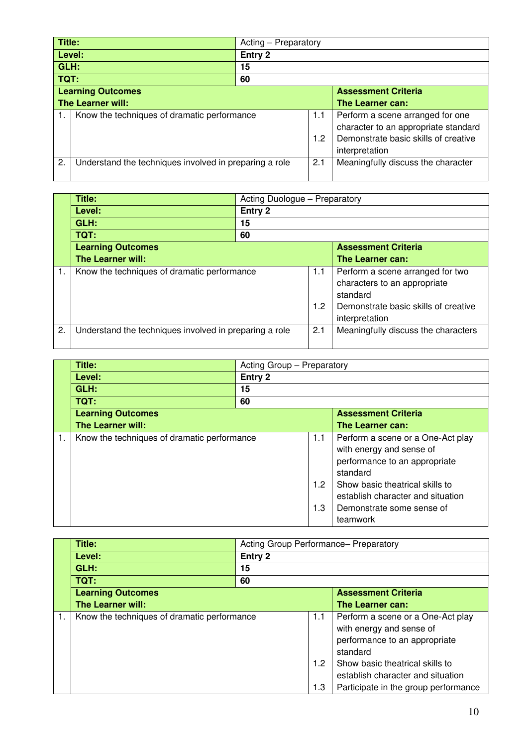| Title:                   |                                                        | Acting - Preparatory |                            |                                      |
|--------------------------|--------------------------------------------------------|----------------------|----------------------------|--------------------------------------|
|                          | Level:                                                 | Entry 2              |                            |                                      |
| GLH:                     |                                                        | 15                   |                            |                                      |
| TQT:                     |                                                        | 60                   |                            |                                      |
| <b>Learning Outcomes</b> |                                                        |                      | <b>Assessment Criteria</b> |                                      |
|                          | The Learner will:                                      |                      |                            | The Learner can:                     |
|                          | Know the techniques of dramatic performance            |                      | 1.1                        | Perform a scene arranged for one     |
|                          |                                                        |                      |                            | character to an appropriate standard |
|                          |                                                        |                      | 1.2                        | Demonstrate basic skills of creative |
|                          |                                                        |                      | interpretation             |                                      |
| 2.                       | Understand the techniques involved in preparing a role |                      | 2.1                        | Meaningfully discuss the character   |
|                          |                                                        |                      |                            |                                      |

|    | Title:                                                 | Acting Duologue - Preparatory |            |                                                                                                                                        |
|----|--------------------------------------------------------|-------------------------------|------------|----------------------------------------------------------------------------------------------------------------------------------------|
|    | Level:                                                 | Entry 2                       |            |                                                                                                                                        |
|    | GLH:                                                   | 15                            |            |                                                                                                                                        |
|    | TQT:                                                   | 60                            |            |                                                                                                                                        |
|    | <b>Learning Outcomes</b>                               | <b>Assessment Criteria</b>    |            |                                                                                                                                        |
|    | <b>The Learner will:</b>                               |                               |            | The Learner can:                                                                                                                       |
| 1. | Know the techniques of dramatic performance            |                               | 1.1<br>1.2 | Perform a scene arranged for two<br>characters to an appropriate<br>standard<br>Demonstrate basic skills of creative<br>interpretation |
| 2. | Understand the techniques involved in preparing a role |                               | 2.1        | Meaningfully discuss the characters                                                                                                    |

|    | Title:                                      | Acting Group - Preparatory |                                |                                                                                                                                                                                                                             |  |
|----|---------------------------------------------|----------------------------|--------------------------------|-----------------------------------------------------------------------------------------------------------------------------------------------------------------------------------------------------------------------------|--|
|    | Level:                                      | Entry 2                    |                                |                                                                                                                                                                                                                             |  |
|    | GLH:                                        | 15                         |                                |                                                                                                                                                                                                                             |  |
|    | <b>TQT:</b>                                 | 60                         |                                |                                                                                                                                                                                                                             |  |
|    | <b>Learning Outcomes</b>                    |                            |                                | <b>Assessment Criteria</b>                                                                                                                                                                                                  |  |
|    | The Learner will:                           |                            |                                | The Learner can:                                                                                                                                                                                                            |  |
| 1. | Know the techniques of dramatic performance |                            | 1.1<br>1.2 <sub>2</sub><br>1.3 | Perform a scene or a One-Act play<br>with energy and sense of<br>performance to an appropriate<br>standard<br>Show basic theatrical skills to<br>establish character and situation<br>Demonstrate some sense of<br>teamwork |  |

| Title:                                      | Acting Group Performance- Preparatory<br>Entry 2 |            |                                                                                                              |  |
|---------------------------------------------|--------------------------------------------------|------------|--------------------------------------------------------------------------------------------------------------|--|
| Level:                                      |                                                  |            |                                                                                                              |  |
| GLH:                                        | 15                                               |            |                                                                                                              |  |
| TQT:                                        | 60                                               |            |                                                                                                              |  |
| <b>Learning Outcomes</b>                    |                                                  |            | <b>Assessment Criteria</b>                                                                                   |  |
| <b>The Learner will:</b>                    |                                                  |            | The Learner can:                                                                                             |  |
| Know the techniques of dramatic performance |                                                  | 1.1        | Perform a scene or a One-Act play<br>with energy and sense of<br>performance to an appropriate<br>standard   |  |
|                                             |                                                  | 1.2<br>1.3 | Show basic theatrical skills to<br>establish character and situation<br>Participate in the group performance |  |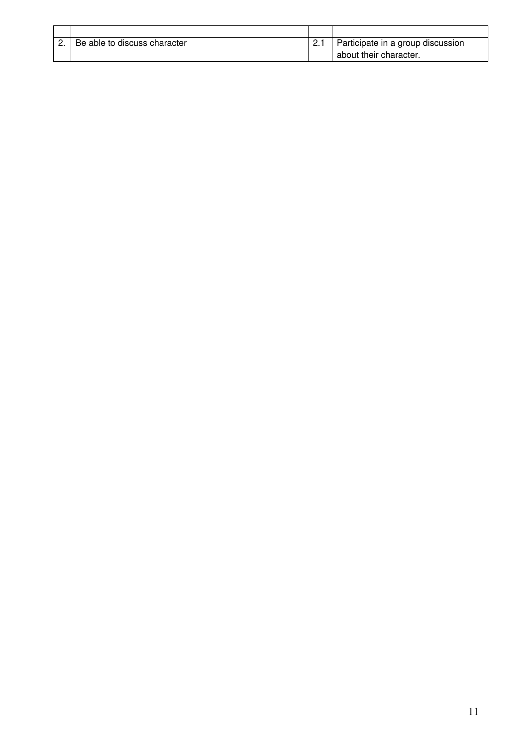| Be able to discuss character | Participate in a group discussion |
|------------------------------|-----------------------------------|
|                              | about their character.            |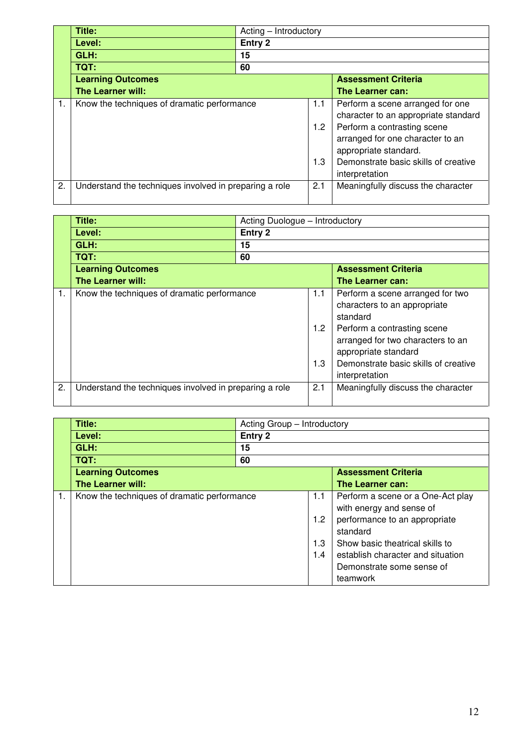|    | Title:                                                 | Acting – Introductory |     |                                      |
|----|--------------------------------------------------------|-----------------------|-----|--------------------------------------|
|    | Level:                                                 | Entry 2               |     |                                      |
|    | GLH:                                                   | 15                    |     |                                      |
|    | TQT:                                                   | 60                    |     |                                      |
|    | <b>Learning Outcomes</b>                               |                       |     | <b>Assessment Criteria</b>           |
|    | <b>The Learner will:</b>                               |                       |     | The Learner can:                     |
|    | Know the techniques of dramatic performance            | 1.1                   |     | Perform a scene arranged for one     |
|    |                                                        |                       |     | character to an appropriate standard |
|    |                                                        | 1.2                   |     | Perform a contrasting scene          |
|    |                                                        |                       |     | arranged for one character to an     |
|    |                                                        |                       |     | appropriate standard.                |
|    |                                                        |                       | 1.3 | Demonstrate basic skills of creative |
|    |                                                        |                       |     | interpretation                       |
| 2. | Understand the techniques involved in preparing a role |                       | 2.1 | Meaningfully discuss the character   |
|    |                                                        |                       |     |                                      |

|    | Title:                                                 | Acting Duologue - Introductory |                             |                                                                                                                                                                                                                                    |
|----|--------------------------------------------------------|--------------------------------|-----------------------------|------------------------------------------------------------------------------------------------------------------------------------------------------------------------------------------------------------------------------------|
|    | Level:                                                 | Entry 2                        |                             |                                                                                                                                                                                                                                    |
|    | GLH:                                                   | 15                             |                             |                                                                                                                                                                                                                                    |
|    | <b>TQT:</b>                                            | 60                             |                             |                                                                                                                                                                                                                                    |
|    | <b>Learning Outcomes</b>                               |                                |                             | <b>Assessment Criteria</b>                                                                                                                                                                                                         |
|    | <b>The Learner will:</b>                               |                                |                             | The Learner can:                                                                                                                                                                                                                   |
| 1. | Know the techniques of dramatic performance            |                                | 1.1<br>$1.2^{\circ}$<br>1.3 | Perform a scene arranged for two<br>characters to an appropriate<br>standard<br>Perform a contrasting scene<br>arranged for two characters to an<br>appropriate standard<br>Demonstrate basic skills of creative<br>interpretation |
| 2. | Understand the techniques involved in preparing a role |                                | 2.1                         | Meaningfully discuss the character                                                                                                                                                                                                 |

| Title:                   |                                             | Acting Group - Introductory |                                   |  |  |
|--------------------------|---------------------------------------------|-----------------------------|-----------------------------------|--|--|
| Level:                   | Entry 2                                     |                             |                                   |  |  |
| GLH:                     | 15                                          |                             |                                   |  |  |
| TQT:                     | 60                                          |                             |                                   |  |  |
| <b>Learning Outcomes</b> |                                             |                             | <b>Assessment Criteria</b>        |  |  |
| The Learner will:        |                                             |                             | The Learner can:                  |  |  |
|                          | Know the techniques of dramatic performance |                             | Perform a scene or a One-Act play |  |  |
|                          |                                             |                             | with energy and sense of          |  |  |
|                          |                                             | 1.2                         | performance to an appropriate     |  |  |
|                          |                                             |                             | standard                          |  |  |
|                          |                                             | 1.3                         | Show basic theatrical skills to   |  |  |
|                          |                                             | 1.4                         | establish character and situation |  |  |
|                          |                                             |                             | Demonstrate some sense of         |  |  |
|                          |                                             |                             | teamwork                          |  |  |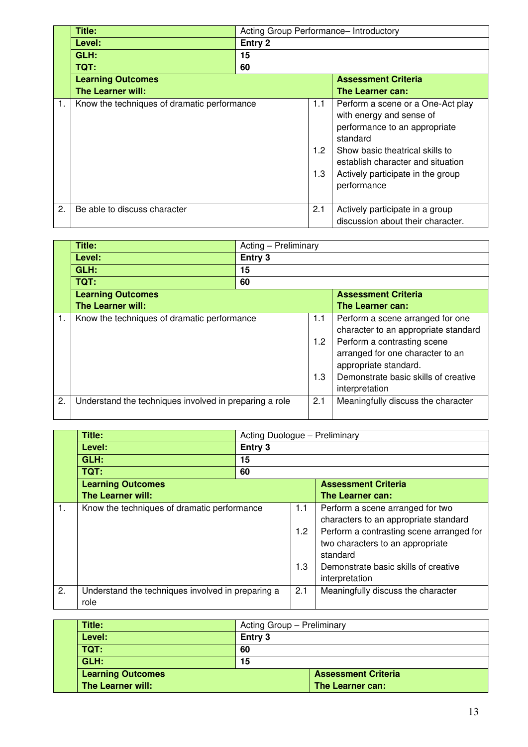|    | Title:                                      | Acting Group Performance- Introductory |                   |                                                                                                                                                                                                                                        |  |  |
|----|---------------------------------------------|----------------------------------------|-------------------|----------------------------------------------------------------------------------------------------------------------------------------------------------------------------------------------------------------------------------------|--|--|
|    | Level:                                      | Entry 2                                |                   |                                                                                                                                                                                                                                        |  |  |
|    | GLH:                                        | 15                                     |                   |                                                                                                                                                                                                                                        |  |  |
|    | TQT:                                        | 60                                     |                   |                                                                                                                                                                                                                                        |  |  |
|    | <b>Learning Outcomes</b>                    |                                        |                   | <b>Assessment Criteria</b>                                                                                                                                                                                                             |  |  |
|    | <b>The Learner will:</b>                    |                                        |                   | The Learner can:                                                                                                                                                                                                                       |  |  |
|    | Know the techniques of dramatic performance |                                        | 1.1<br>1.2<br>1.3 | Perform a scene or a One-Act play<br>with energy and sense of<br>performance to an appropriate<br>standard<br>Show basic theatrical skills to<br>establish character and situation<br>Actively participate in the group<br>performance |  |  |
| 2. | Be able to discuss character                |                                        | 2.1               | Actively participate in a group<br>discussion about their character.                                                                                                                                                                   |  |  |

|    | Title:                                                 | Acting - Preliminary |                   |                                                                                                                                                                                                                                |
|----|--------------------------------------------------------|----------------------|-------------------|--------------------------------------------------------------------------------------------------------------------------------------------------------------------------------------------------------------------------------|
|    | Level:                                                 | Entry 3              |                   |                                                                                                                                                                                                                                |
|    | GLH:                                                   | 15                   |                   |                                                                                                                                                                                                                                |
|    | TQT:                                                   | 60                   |                   |                                                                                                                                                                                                                                |
|    | <b>Learning Outcomes</b>                               |                      |                   | <b>Assessment Criteria</b>                                                                                                                                                                                                     |
|    | <b>The Learner will:</b>                               |                      |                   | The Learner can:                                                                                                                                                                                                               |
|    | Know the techniques of dramatic performance            |                      | 1.1<br>1.2<br>1.3 | Perform a scene arranged for one<br>character to an appropriate standard<br>Perform a contrasting scene<br>arranged for one character to an<br>appropriate standard.<br>Demonstrate basic skills of creative<br>interpretation |
| 2. | Understand the techniques involved in preparing a role |                      | 2.1               | Meaningfully discuss the character                                                                                                                                                                                             |

|                | Title:                                                    | Acting Duologue - Preliminary |                   |                                                                                                                                                                                                                                 |  |
|----------------|-----------------------------------------------------------|-------------------------------|-------------------|---------------------------------------------------------------------------------------------------------------------------------------------------------------------------------------------------------------------------------|--|
|                | Level:                                                    | Entry 3                       |                   |                                                                                                                                                                                                                                 |  |
|                | GLH:                                                      | 15                            |                   |                                                                                                                                                                                                                                 |  |
|                | TQT:                                                      | 60                            |                   |                                                                                                                                                                                                                                 |  |
|                | <b>Learning Outcomes</b>                                  | <b>Assessment Criteria</b>    |                   |                                                                                                                                                                                                                                 |  |
|                | The Learner will:                                         |                               |                   | The Learner can:                                                                                                                                                                                                                |  |
| $\mathbf{1}$ . | Know the techniques of dramatic performance               |                               | 1.1<br>1.2<br>1.3 | Perform a scene arranged for two<br>characters to an appropriate standard<br>Perform a contrasting scene arranged for<br>two characters to an appropriate<br>standard<br>Demonstrate basic skills of creative<br>interpretation |  |
| 2.             | Understand the techniques involved in preparing a<br>role |                               | 2.1               | Meaningfully discuss the character                                                                                                                                                                                              |  |

| Title:                   |         | Acting Group - Preliminary |  |  |
|--------------------------|---------|----------------------------|--|--|
| Level:                   | Entry 3 |                            |  |  |
| TQT:                     | 60      |                            |  |  |
| GLH:                     | 15      |                            |  |  |
| <b>Learning Outcomes</b> |         | <b>Assessment Criteria</b> |  |  |
| The Learner will:        |         | The Learner can:           |  |  |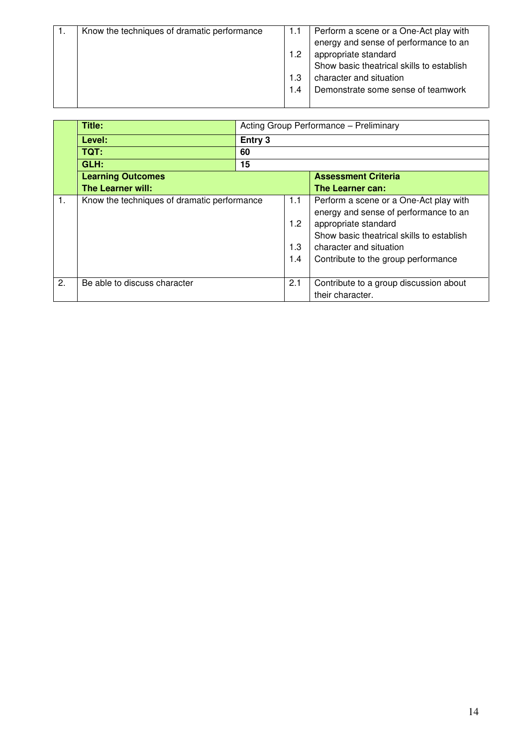| Know the techniques of dramatic performance | 1.1 | Perform a scene or a One-Act play with    |
|---------------------------------------------|-----|-------------------------------------------|
|                                             |     | energy and sense of performance to an     |
|                                             | 1.2 | appropriate standard                      |
|                                             |     | Show basic theatrical skills to establish |
|                                             |     | character and situation                   |
|                                             | 1.4 | Demonstrate some sense of teamwork        |
|                                             |     |                                           |

|    | Title:                                      |         | Acting Group Performance - Preliminary |                                                                                                                                                                                                                        |  |  |
|----|---------------------------------------------|---------|----------------------------------------|------------------------------------------------------------------------------------------------------------------------------------------------------------------------------------------------------------------------|--|--|
|    | Level:                                      | Entry 3 |                                        |                                                                                                                                                                                                                        |  |  |
|    | TQT:                                        | 60      |                                        |                                                                                                                                                                                                                        |  |  |
|    | GLH:                                        | 15      |                                        |                                                                                                                                                                                                                        |  |  |
|    | <b>Learning Outcomes</b>                    |         |                                        | <b>Assessment Criteria</b>                                                                                                                                                                                             |  |  |
|    | The Learner will:                           |         |                                        | The Learner can:                                                                                                                                                                                                       |  |  |
| 1. | Know the techniques of dramatic performance |         | 1.1<br>1.2<br>1.3<br>1.4               | Perform a scene or a One-Act play with<br>energy and sense of performance to an<br>appropriate standard<br>Show basic theatrical skills to establish<br>character and situation<br>Contribute to the group performance |  |  |
| 2. | Be able to discuss character                |         | 2.1                                    | Contribute to a group discussion about<br>their character.                                                                                                                                                             |  |  |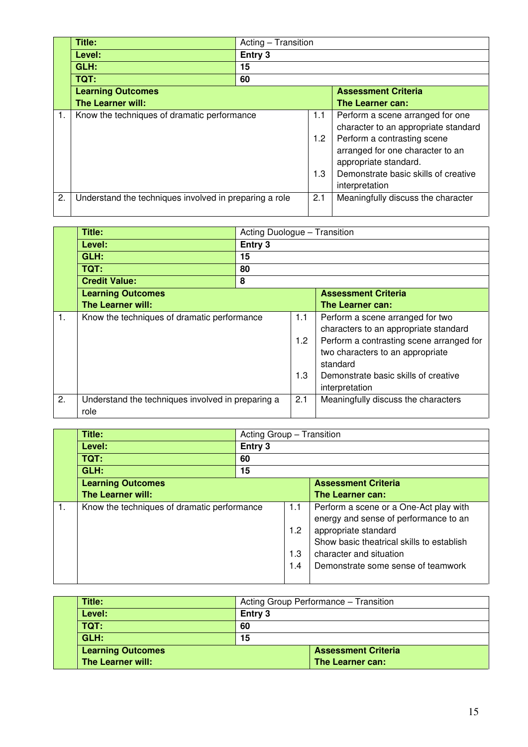|    | Title:                                                 | Acting – Transition |     |                                      |  |
|----|--------------------------------------------------------|---------------------|-----|--------------------------------------|--|
|    | Level:                                                 | Entry 3             |     |                                      |  |
|    | GLH:                                                   | 15                  |     |                                      |  |
|    | TQT:                                                   | 60                  |     |                                      |  |
|    | <b>Learning Outcomes</b>                               |                     |     | <b>Assessment Criteria</b>           |  |
|    | <b>The Learner will:</b>                               |                     |     | The Learner can:                     |  |
|    | Know the techniques of dramatic performance            |                     | 1.1 | Perform a scene arranged for one     |  |
|    |                                                        |                     |     | character to an appropriate standard |  |
|    |                                                        | 1.2                 |     | Perform a contrasting scene          |  |
|    |                                                        |                     |     | arranged for one character to an     |  |
|    |                                                        |                     |     | appropriate standard.                |  |
|    |                                                        | 1.3                 |     | Demonstrate basic skills of creative |  |
|    |                                                        |                     |     | interpretation                       |  |
| 2. | Understand the techniques involved in preparing a role |                     | 2.1 | Meaningfully discuss the character   |  |
|    |                                                        |                     |     |                                      |  |

|                | Title:                                                    |         | Acting Duologue - Transition |                                                                                                                                                                                                                                 |  |
|----------------|-----------------------------------------------------------|---------|------------------------------|---------------------------------------------------------------------------------------------------------------------------------------------------------------------------------------------------------------------------------|--|
|                | Level:                                                    | Entry 3 |                              |                                                                                                                                                                                                                                 |  |
|                | GLH:                                                      | 15      |                              |                                                                                                                                                                                                                                 |  |
|                | TQT:                                                      | 80      |                              |                                                                                                                                                                                                                                 |  |
|                | <b>Credit Value:</b>                                      | 8       |                              |                                                                                                                                                                                                                                 |  |
|                | <b>Learning Outcomes</b>                                  |         |                              | <b>Assessment Criteria</b>                                                                                                                                                                                                      |  |
|                | <b>The Learner will:</b>                                  |         |                              | The Learner can:                                                                                                                                                                                                                |  |
| $\mathbf{1}$ . | Know the techniques of dramatic performance               |         | 1.1<br>1.2<br>1.3            | Perform a scene arranged for two<br>characters to an appropriate standard<br>Perform a contrasting scene arranged for<br>two characters to an appropriate<br>standard<br>Demonstrate basic skills of creative<br>interpretation |  |
| 2.             | Understand the techniques involved in preparing a<br>role |         | 2.1                          | Meaningfully discuss the characters                                                                                                                                                                                             |  |

| Title:                                      |         | Acting Group - Transition |                                                                                                                                                                                                                       |  |  |
|---------------------------------------------|---------|---------------------------|-----------------------------------------------------------------------------------------------------------------------------------------------------------------------------------------------------------------------|--|--|
| Level:                                      | Entry 3 |                           |                                                                                                                                                                                                                       |  |  |
| TQT:                                        | 60      |                           |                                                                                                                                                                                                                       |  |  |
| GLH:                                        | 15      |                           |                                                                                                                                                                                                                       |  |  |
| <b>Learning Outcomes</b>                    |         |                           | <b>Assessment Criteria</b>                                                                                                                                                                                            |  |  |
| <b>The Learner will:</b>                    |         |                           | The Learner can:                                                                                                                                                                                                      |  |  |
| Know the techniques of dramatic performance |         | 1.1<br>1.2<br>1.3<br>1.4  | Perform a scene or a One-Act play with<br>energy and sense of performance to an<br>appropriate standard<br>Show basic theatrical skills to establish<br>character and situation<br>Demonstrate some sense of teamwork |  |  |

| Title:                   | Acting Group Performance - Transition |                            |  |
|--------------------------|---------------------------------------|----------------------------|--|
| Level:                   | Entry 3                               |                            |  |
| TQT:                     | 60                                    |                            |  |
| GLH:                     | 15                                    |                            |  |
| <b>Learning Outcomes</b> |                                       | <b>Assessment Criteria</b> |  |
| The Learner will:        |                                       | The Learner can:           |  |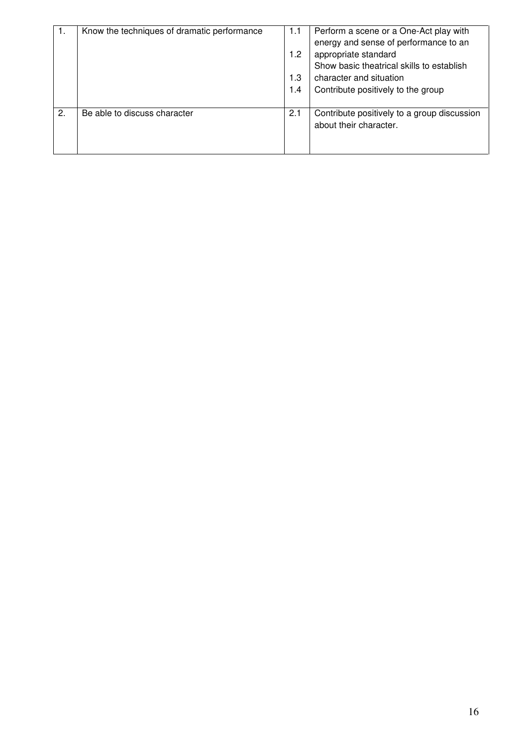| -1. | Know the techniques of dramatic performance | 1.1<br>1.2<br>1.3<br>1.4 | Perform a scene or a One-Act play with<br>energy and sense of performance to an<br>appropriate standard<br>Show basic theatrical skills to establish<br>character and situation<br>Contribute positively to the group |
|-----|---------------------------------------------|--------------------------|-----------------------------------------------------------------------------------------------------------------------------------------------------------------------------------------------------------------------|
| 2.  | Be able to discuss character                | 2.1                      | Contribute positively to a group discussion<br>about their character.                                                                                                                                                 |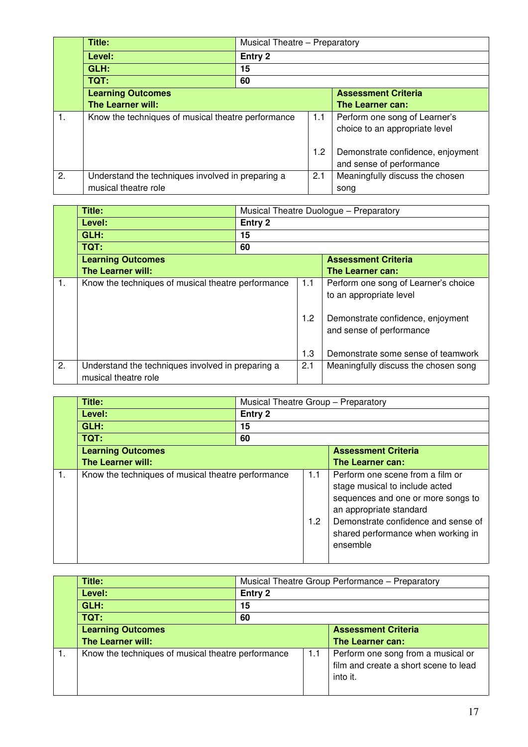|    | Title:                                             |    | Musical Theatre - Preparatory<br>Entry 2 |                                   |
|----|----------------------------------------------------|----|------------------------------------------|-----------------------------------|
|    | Level:                                             |    |                                          |                                   |
|    | GLH:                                               | 15 |                                          |                                   |
|    | TQT:                                               | 60 |                                          |                                   |
|    | <b>Learning Outcomes</b>                           |    |                                          | <b>Assessment Criteria</b>        |
|    | <b>The Learner will:</b>                           |    |                                          | The Learner can:                  |
| 1. | Know the techniques of musical theatre performance |    | 1.1                                      | Perform one song of Learner's     |
|    |                                                    |    |                                          | choice to an appropriate level    |
|    |                                                    |    |                                          |                                   |
|    |                                                    |    | 1.2                                      | Demonstrate confidence, enjoyment |
|    |                                                    |    |                                          | and sense of performance          |
| 2. | Understand the techniques involved in preparing a  |    | 2.1                                      | Meaningfully discuss the chosen   |
|    | musical theatre role                               |    |                                          | song                              |

|    | Title:                                                                    |         | Musical Theatre Duologue - Preparatory |                                                                                                      |  |
|----|---------------------------------------------------------------------------|---------|----------------------------------------|------------------------------------------------------------------------------------------------------|--|
|    | Level:                                                                    | Entry 2 |                                        |                                                                                                      |  |
|    | GLH:                                                                      | 15      |                                        |                                                                                                      |  |
|    | TQT:                                                                      | 60      |                                        |                                                                                                      |  |
|    | <b>Learning Outcomes</b>                                                  |         | <b>Assessment Criteria</b>             |                                                                                                      |  |
|    | <b>The Learner will:</b>                                                  |         |                                        | The Learner can:                                                                                     |  |
| 1. | Know the techniques of musical theatre performance                        |         | 1.1<br>1.2                             | Perform one song of Learner's choice<br>to an appropriate level<br>Demonstrate confidence, enjoyment |  |
|    |                                                                           |         | 1.3                                    | and sense of performance<br>Demonstrate some sense of teamwork                                       |  |
| 2. | Understand the techniques involved in preparing a<br>musical theatre role |         | 2.1                                    | Meaningfully discuss the chosen song                                                                 |  |

|    | Title:                                             | Musical Theatre Group - Preparatory |            |                                                                                                                                                                                                                              |  |
|----|----------------------------------------------------|-------------------------------------|------------|------------------------------------------------------------------------------------------------------------------------------------------------------------------------------------------------------------------------------|--|
|    | Level:                                             | Entry 2                             |            |                                                                                                                                                                                                                              |  |
|    | GLH:                                               | 15                                  |            |                                                                                                                                                                                                                              |  |
|    | TQT:                                               | 60                                  |            |                                                                                                                                                                                                                              |  |
|    | <b>Learning Outcomes</b>                           |                                     |            | <b>Assessment Criteria</b>                                                                                                                                                                                                   |  |
|    | <b>The Learner will:</b>                           |                                     |            | The Learner can:                                                                                                                                                                                                             |  |
| 1. | Know the techniques of musical theatre performance |                                     | 1.1<br>1.2 | Perform one scene from a film or<br>stage musical to include acted<br>sequences and one or more songs to<br>an appropriate standard<br>Demonstrate confidence and sense of<br>shared performance when working in<br>ensemble |  |

| Title:                                             | Musical Theatre Group Performance - Preparatory |     |                                                                                         |
|----------------------------------------------------|-------------------------------------------------|-----|-----------------------------------------------------------------------------------------|
| Level:                                             | Entry 2                                         |     |                                                                                         |
| GLH:                                               | 15                                              |     |                                                                                         |
| TQT:                                               | 60                                              |     |                                                                                         |
| <b>Learning Outcomes</b>                           |                                                 |     | <b>Assessment Criteria</b>                                                              |
| <b>The Learner will:</b>                           |                                                 |     | The Learner can:                                                                        |
| Know the techniques of musical theatre performance |                                                 | 1.1 | Perform one song from a musical or<br>film and create a short scene to lead<br>into it. |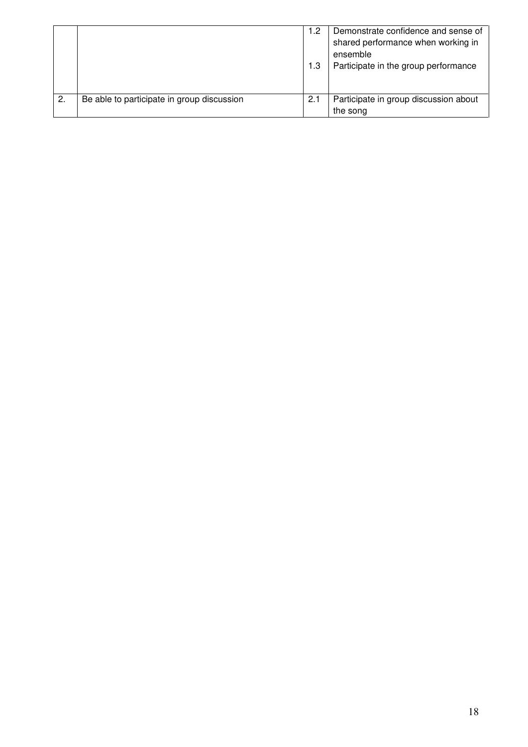|    |                                            | 1.2<br>1.3 | Demonstrate confidence and sense of<br>shared performance when working in<br>ensemble<br>Participate in the group performance |
|----|--------------------------------------------|------------|-------------------------------------------------------------------------------------------------------------------------------|
| 2. | Be able to participate in group discussion | 2.1        | Participate in group discussion about<br>the song                                                                             |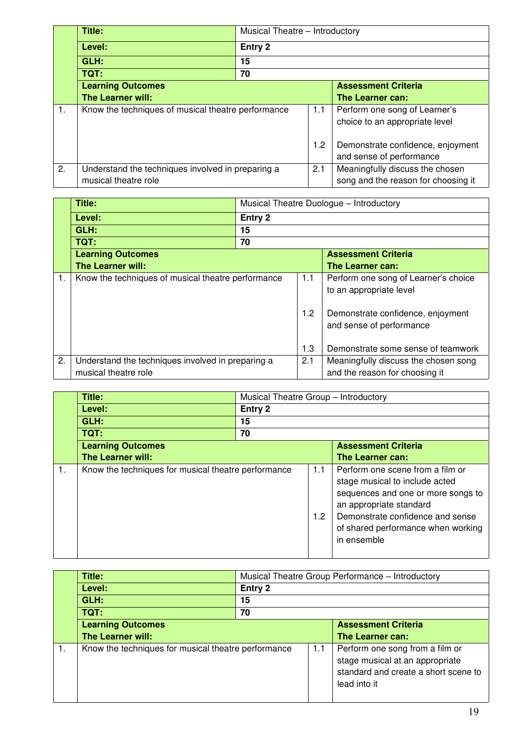|    | Title:                                             |         | Musical Theatre - Introductory |                                     |  |
|----|----------------------------------------------------|---------|--------------------------------|-------------------------------------|--|
|    | Level:                                             | Entry 2 |                                |                                     |  |
|    | GLH:                                               | 15      |                                |                                     |  |
|    | TQT:                                               | 70      |                                |                                     |  |
|    | <b>Learning Outcomes</b>                           |         |                                | <b>Assessment Criteria</b>          |  |
|    | The Learner will:                                  |         |                                | The Learner can:                    |  |
| 1. | Know the techniques of musical theatre performance |         | 1.1                            | Perform one song of Learner's       |  |
|    |                                                    |         |                                | choice to an appropriate level      |  |
|    |                                                    |         | 1.2                            | Demonstrate confidence, enjoyment   |  |
|    |                                                    |         |                                | and sense of performance            |  |
|    |                                                    |         |                                |                                     |  |
| 2. | Understand the techniques involved in preparing a  |         | 2.1                            | Meaningfully discuss the chosen     |  |
|    | musical theatre role                               |         |                                | song and the reason for choosing it |  |

|    | Title:                                            |                                                           | Musical Theatre Duologue - Introductory |                                      |  |  |
|----|---------------------------------------------------|-----------------------------------------------------------|-----------------------------------------|--------------------------------------|--|--|
|    | Level:                                            | Entry 2                                                   |                                         |                                      |  |  |
|    | GLH:                                              | 15                                                        |                                         |                                      |  |  |
|    | TQT:                                              | 70                                                        |                                         |                                      |  |  |
|    | <b>Learning Outcomes</b>                          | <b>Assessment Criteria</b>                                |                                         |                                      |  |  |
|    | <b>The Learner will:</b>                          |                                                           |                                         | The Learner can:                     |  |  |
| 1. |                                                   | Know the techniques of musical theatre performance<br>1.1 |                                         | Perform one song of Learner's choice |  |  |
|    |                                                   |                                                           |                                         | to an appropriate level              |  |  |
|    |                                                   |                                                           |                                         |                                      |  |  |
|    |                                                   |                                                           | 1.2                                     | Demonstrate confidence, enjoyment    |  |  |
|    |                                                   |                                                           |                                         | and sense of performance             |  |  |
|    |                                                   |                                                           |                                         |                                      |  |  |
|    |                                                   |                                                           | 1.3                                     | Demonstrate some sense of teamwork   |  |  |
| 2. | Understand the techniques involved in preparing a |                                                           | 2.1                                     | Meaningfully discuss the chosen song |  |  |
|    | musical theatre role                              |                                                           |                                         | and the reason for choosing it       |  |  |

|    | Title:                                              | Musical Theatre Group - Introductory |            |                                                                                                                                                                                                                              |
|----|-----------------------------------------------------|--------------------------------------|------------|------------------------------------------------------------------------------------------------------------------------------------------------------------------------------------------------------------------------------|
|    | Level:                                              | Entry 2                              |            |                                                                                                                                                                                                                              |
|    | GLH:                                                | 15                                   |            |                                                                                                                                                                                                                              |
|    | TQT:                                                | 70                                   |            |                                                                                                                                                                                                                              |
|    | <b>Learning Outcomes</b>                            |                                      |            | <b>Assessment Criteria</b>                                                                                                                                                                                                   |
|    | The Learner will:                                   |                                      |            | The Learner can:                                                                                                                                                                                                             |
| 1. | Know the techniques for musical theatre performance |                                      | 1.1<br>1.2 | Perform one scene from a film or<br>stage musical to include acted<br>sequences and one or more songs to<br>an appropriate standard<br>Demonstrate confidence and sense<br>of shared performance when working<br>in ensemble |

| Title:                                              | Musical Theatre Group Performance - Introductory |     |                                                                                                                            |  |
|-----------------------------------------------------|--------------------------------------------------|-----|----------------------------------------------------------------------------------------------------------------------------|--|
| Level:                                              | Entry 2                                          |     |                                                                                                                            |  |
| GLH:                                                | 15                                               |     |                                                                                                                            |  |
| TQT:                                                | 70                                               |     |                                                                                                                            |  |
| <b>Learning Outcomes</b>                            |                                                  |     | <b>Assessment Criteria</b>                                                                                                 |  |
| <b>The Learner will:</b>                            |                                                  |     | The Learner can:                                                                                                           |  |
| Know the techniques for musical theatre performance |                                                  | 1.1 | Perform one song from a film or<br>stage musical at an appropriate<br>standard and create a short scene to<br>lead into it |  |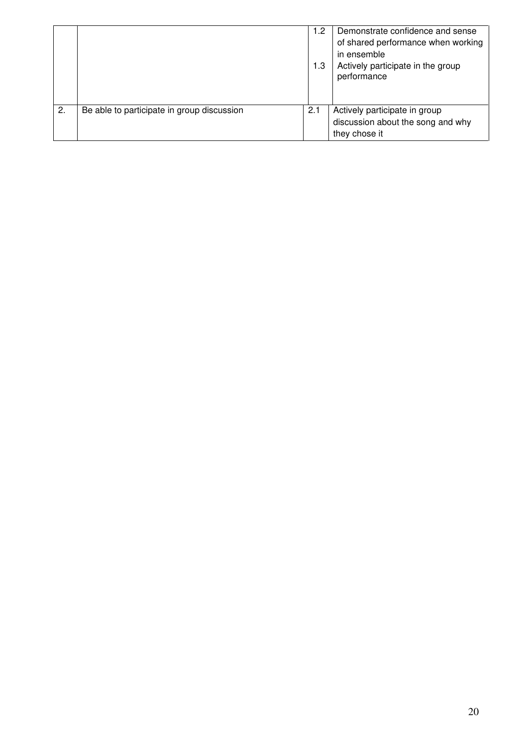|    |                                            | 1.2<br>1.3 | Demonstrate confidence and sense<br>of shared performance when working<br>in ensemble<br>Actively participate in the group<br>performance |
|----|--------------------------------------------|------------|-------------------------------------------------------------------------------------------------------------------------------------------|
| 2. | Be able to participate in group discussion | 2.1        | Actively participate in group<br>discussion about the song and why<br>they chose it                                                       |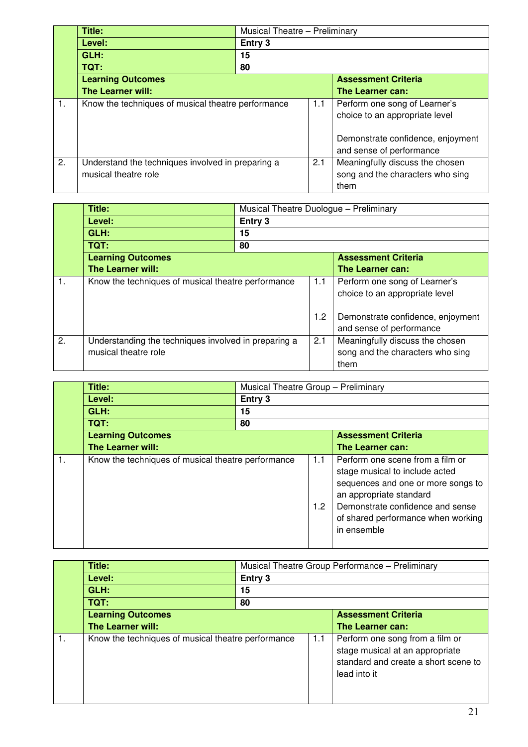|    | Title:                                                   |                                                    | <b>Musical Theatre - Preliminary</b> |                                   |  |
|----|----------------------------------------------------------|----------------------------------------------------|--------------------------------------|-----------------------------------|--|
|    | Level:                                                   | Entry 3                                            |                                      |                                   |  |
|    | GLH:                                                     | 15                                                 |                                      |                                   |  |
|    | TQT:                                                     | 80                                                 |                                      |                                   |  |
|    | <b>Learning Outcomes</b>                                 |                                                    |                                      | <b>Assessment Criteria</b>        |  |
|    | <b>The Learner will:</b>                                 |                                                    |                                      | The Learner can:                  |  |
| 1. |                                                          | Know the techniques of musical theatre performance |                                      | Perform one song of Learner's     |  |
|    |                                                          |                                                    |                                      | choice to an appropriate level    |  |
|    |                                                          |                                                    |                                      | Demonstrate confidence, enjoyment |  |
|    |                                                          |                                                    |                                      | and sense of performance          |  |
| 2. | Understand the techniques involved in preparing a<br>2.1 |                                                    | Meaningfully discuss the chosen      |                                   |  |
|    | musical theatre role                                     |                                                    |                                      | song and the characters who sing  |  |
|    |                                                          |                                                    |                                      | them                              |  |

|    | Title:                                               |         | Musical Theatre Duologue - Preliminary |                                   |  |
|----|------------------------------------------------------|---------|----------------------------------------|-----------------------------------|--|
|    | Level:                                               | Entry 3 |                                        |                                   |  |
|    | GLH:                                                 | 15      |                                        |                                   |  |
|    | TQT:                                                 | 80      |                                        |                                   |  |
|    | <b>Learning Outcomes</b>                             |         |                                        | <b>Assessment Criteria</b>        |  |
|    | The Learner will:                                    |         |                                        | The Learner can:                  |  |
| 1. | Know the techniques of musical theatre performance   |         | 1.1                                    | Perform one song of Learner's     |  |
|    |                                                      |         |                                        | choice to an appropriate level    |  |
|    |                                                      |         | 1.2 <sub>2</sub>                       | Demonstrate confidence, enjoyment |  |
|    |                                                      |         |                                        | and sense of performance          |  |
| 2. | Understanding the techniques involved in preparing a |         | 2.1                                    | Meaningfully discuss the chosen   |  |
|    | musical theatre role                                 |         |                                        | song and the characters who sing  |  |
|    |                                                      |         |                                        | them                              |  |

| Title:                                             | Musical Theatre Group - Preliminary |                         |                                                                                                                                                                                                                              |  |
|----------------------------------------------------|-------------------------------------|-------------------------|------------------------------------------------------------------------------------------------------------------------------------------------------------------------------------------------------------------------------|--|
| Level:                                             | Entry 3                             |                         |                                                                                                                                                                                                                              |  |
| GLH:                                               | 15                                  |                         |                                                                                                                                                                                                                              |  |
| TQT:                                               | 80                                  |                         |                                                                                                                                                                                                                              |  |
| <b>Learning Outcomes</b>                           |                                     |                         | <b>Assessment Criteria</b>                                                                                                                                                                                                   |  |
| <b>The Learner will:</b>                           |                                     |                         | The Learner can:                                                                                                                                                                                                             |  |
| Know the techniques of musical theatre performance |                                     | 1.1<br>1.2 <sub>2</sub> | Perform one scene from a film or<br>stage musical to include acted<br>sequences and one or more songs to<br>an appropriate standard<br>Demonstrate confidence and sense<br>of shared performance when working<br>in ensemble |  |

| Title:                                             |         | Musical Theatre Group Performance - Preliminary |                                                                                                                            |  |  |
|----------------------------------------------------|---------|-------------------------------------------------|----------------------------------------------------------------------------------------------------------------------------|--|--|
| Level:                                             | Entry 3 |                                                 |                                                                                                                            |  |  |
| GLH:                                               | 15      |                                                 |                                                                                                                            |  |  |
| TQT:                                               | 80      |                                                 |                                                                                                                            |  |  |
| <b>Learning Outcomes</b>                           |         |                                                 | <b>Assessment Criteria</b>                                                                                                 |  |  |
| <b>The Learner will:</b>                           |         |                                                 | The Learner can:                                                                                                           |  |  |
| Know the techniques of musical theatre performance |         | 1.1                                             | Perform one song from a film or<br>stage musical at an appropriate<br>standard and create a short scene to<br>lead into it |  |  |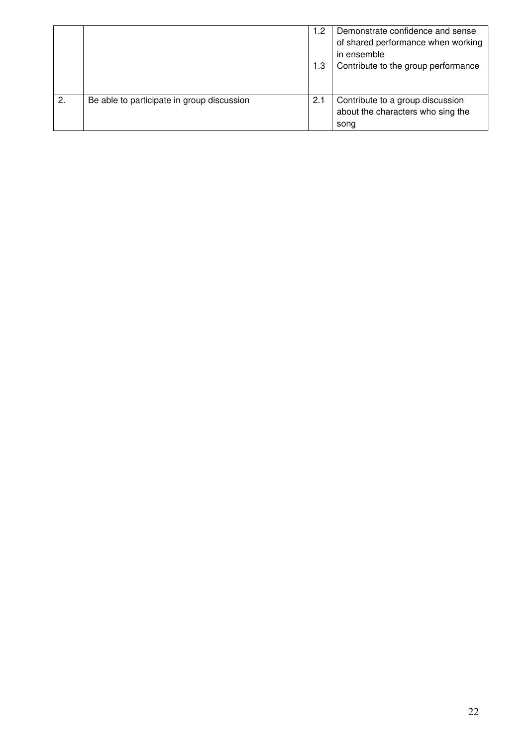|                  |                                            | .2.<br>1.3 | Demonstrate confidence and sense<br>of shared performance when working<br>in ensemble<br>Contribute to the group performance |
|------------------|--------------------------------------------|------------|------------------------------------------------------------------------------------------------------------------------------|
| $\overline{2}$ . | Be able to participate in group discussion | 2.1        | Contribute to a group discussion<br>about the characters who sing the<br>song                                                |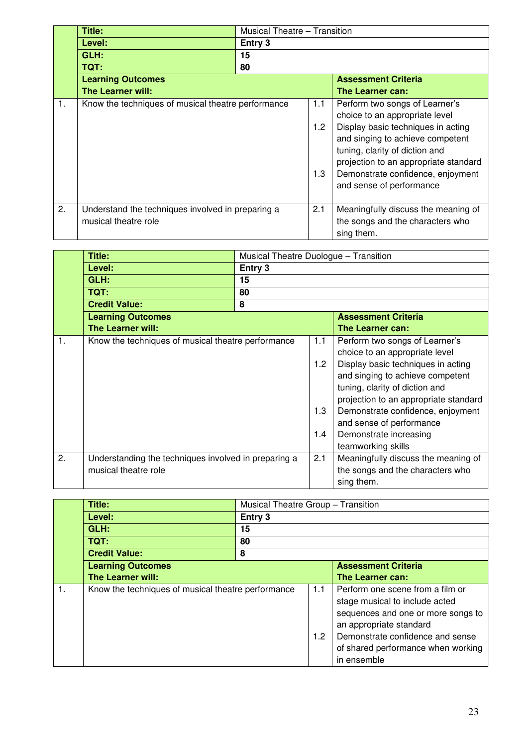|    | Title:                                                                    |         | Musical Theatre - Transition |                                                                                                                                                                                                                                                      |  |
|----|---------------------------------------------------------------------------|---------|------------------------------|------------------------------------------------------------------------------------------------------------------------------------------------------------------------------------------------------------------------------------------------------|--|
|    | Level:                                                                    | Entry 3 |                              |                                                                                                                                                                                                                                                      |  |
|    | GLH:                                                                      | 15      |                              |                                                                                                                                                                                                                                                      |  |
|    | TQT:                                                                      | 80      |                              |                                                                                                                                                                                                                                                      |  |
|    | <b>Learning Outcomes</b>                                                  |         |                              | <b>Assessment Criteria</b>                                                                                                                                                                                                                           |  |
|    | The Learner will:                                                         |         |                              | The Learner can:                                                                                                                                                                                                                                     |  |
| 1. | Know the techniques of musical theatre performance                        |         | 1.1                          | Perform two songs of Learner's                                                                                                                                                                                                                       |  |
|    |                                                                           |         | 1.2<br>1.3                   | choice to an appropriate level<br>Display basic techniques in acting<br>and singing to achieve competent<br>tuning, clarity of diction and<br>projection to an appropriate standard<br>Demonstrate confidence, enjoyment<br>and sense of performance |  |
| 2. | Understand the techniques involved in preparing a<br>musical theatre role |         | 2.1                          | Meaningfully discuss the meaning of<br>the songs and the characters who<br>sing them.                                                                                                                                                                |  |

|                | Title:                                               | Musical Theatre Duologue - Transition |                  |                                       |  |
|----------------|------------------------------------------------------|---------------------------------------|------------------|---------------------------------------|--|
|                | Level:                                               |                                       | Entry 3          |                                       |  |
|                | GLH:                                                 | 15                                    |                  |                                       |  |
|                | TQT:                                                 | 80                                    |                  |                                       |  |
|                |                                                      |                                       |                  |                                       |  |
|                | <b>Credit Value:</b>                                 | 8                                     |                  |                                       |  |
|                | <b>Learning Outcomes</b>                             |                                       |                  | <b>Assessment Criteria</b>            |  |
|                | <b>The Learner will:</b>                             |                                       |                  | The Learner can:                      |  |
| $\mathbf{1}$ . | Know the techniques of musical theatre performance   |                                       | 1.1              | Perform two songs of Learner's        |  |
|                |                                                      |                                       |                  | choice to an appropriate level        |  |
|                |                                                      |                                       | 1.2 <sub>2</sub> | Display basic techniques in acting    |  |
|                |                                                      |                                       |                  | and singing to achieve competent      |  |
|                |                                                      |                                       |                  | tuning, clarity of diction and        |  |
|                |                                                      |                                       |                  | projection to an appropriate standard |  |
|                |                                                      |                                       | 1.3              | Demonstrate confidence, enjoyment     |  |
|                |                                                      |                                       |                  | and sense of performance              |  |
|                |                                                      |                                       |                  |                                       |  |
|                |                                                      |                                       | 1.4              | Demonstrate increasing                |  |
|                |                                                      |                                       |                  | teamworking skills                    |  |
| 2.             | Understanding the techniques involved in preparing a |                                       | 2.1              | Meaningfully discuss the meaning of   |  |
|                | musical theatre role                                 |                                       |                  | the songs and the characters who      |  |
|                |                                                      |                                       |                  | sing them.                            |  |

|    | Title:                                             | Musical Theatre Group - Transition |                         |                                                                                                                                                                                                                              |  |  |
|----|----------------------------------------------------|------------------------------------|-------------------------|------------------------------------------------------------------------------------------------------------------------------------------------------------------------------------------------------------------------------|--|--|
|    | Level:                                             | Entry 3                            |                         |                                                                                                                                                                                                                              |  |  |
|    | GLH:                                               | 15                                 |                         |                                                                                                                                                                                                                              |  |  |
|    | TQT:                                               | 80                                 |                         |                                                                                                                                                                                                                              |  |  |
|    | <b>Credit Value:</b>                               | 8                                  |                         |                                                                                                                                                                                                                              |  |  |
|    | <b>Learning Outcomes</b>                           |                                    |                         | <b>Assessment Criteria</b>                                                                                                                                                                                                   |  |  |
|    | <b>The Learner will:</b>                           |                                    |                         | The Learner can:                                                                                                                                                                                                             |  |  |
| 1. | Know the techniques of musical theatre performance |                                    | 1.1<br>1.2 <sub>2</sub> | Perform one scene from a film or<br>stage musical to include acted<br>sequences and one or more songs to<br>an appropriate standard<br>Demonstrate confidence and sense<br>of shared performance when working<br>in ensemble |  |  |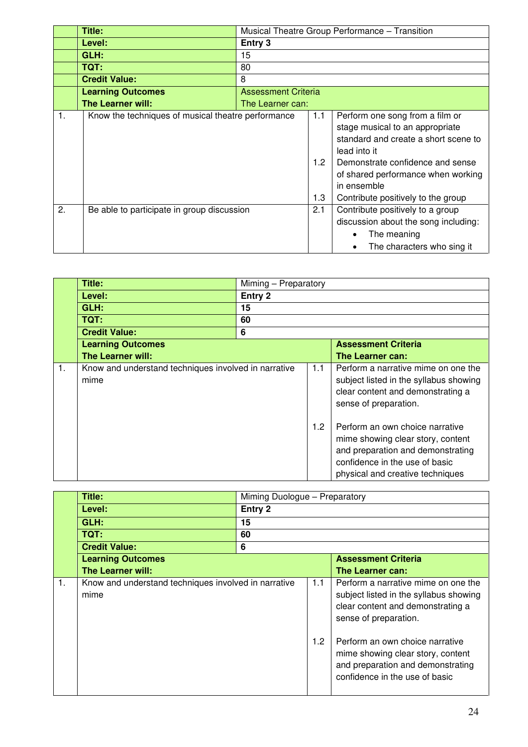|                | Title:                                             |                            |                                | Musical Theatre Group Performance - Transition                                                                                                                                                                                                            |  |
|----------------|----------------------------------------------------|----------------------------|--------------------------------|-----------------------------------------------------------------------------------------------------------------------------------------------------------------------------------------------------------------------------------------------------------|--|
|                | Level:                                             | Entry 3                    |                                |                                                                                                                                                                                                                                                           |  |
|                | GLH:                                               | 15                         |                                |                                                                                                                                                                                                                                                           |  |
|                | TQT:                                               | 80                         |                                |                                                                                                                                                                                                                                                           |  |
|                | <b>Credit Value:</b>                               | 8                          |                                |                                                                                                                                                                                                                                                           |  |
|                | <b>Learning Outcomes</b>                           | <b>Assessment Criteria</b> |                                |                                                                                                                                                                                                                                                           |  |
|                | <b>The Learner will:</b>                           | The Learner can:           |                                |                                                                                                                                                                                                                                                           |  |
| $\mathbf{1}$ . | Know the techniques of musical theatre performance |                            | 1.1<br>1.2 <sub>1</sub><br>1.3 | Perform one song from a film or<br>stage musical to an appropriate<br>standard and create a short scene to<br>lead into it<br>Demonstrate confidence and sense<br>of shared performance when working<br>in ensemble<br>Contribute positively to the group |  |
| 2.             | Be able to participate in group discussion         |                            | 2.1                            | Contribute positively to a group<br>discussion about the song including:<br>The meaning<br>The characters who sing it                                                                                                                                     |  |

|                | Title:                                                       | Miming - Preparatory |     |                                                                                                                                                                                 |  |
|----------------|--------------------------------------------------------------|----------------------|-----|---------------------------------------------------------------------------------------------------------------------------------------------------------------------------------|--|
|                | Level:                                                       | Entry 2              |     |                                                                                                                                                                                 |  |
|                | GLH:                                                         | 15                   |     |                                                                                                                                                                                 |  |
|                | TQT:                                                         | 60                   |     |                                                                                                                                                                                 |  |
|                | <b>Credit Value:</b>                                         | 6                    |     |                                                                                                                                                                                 |  |
|                | <b>Learning Outcomes</b>                                     |                      |     | <b>Assessment Criteria</b>                                                                                                                                                      |  |
|                | The Learner will:                                            |                      |     | The Learner can:                                                                                                                                                                |  |
| $\mathbf{1}$ . | Know and understand techniques involved in narrative<br>mime |                      | 1.1 | Perform a narrative mime on one the<br>subject listed in the syllabus showing<br>clear content and demonstrating a<br>sense of preparation.                                     |  |
|                |                                                              |                      | 1.2 | Perform an own choice narrative<br>mime showing clear story, content<br>and preparation and demonstrating<br>confidence in the use of basic<br>physical and creative techniques |  |

|    | Title:                                                       | Miming Duologue - Preparatory |                         |                                                                                                                                                                                                                                                                                            |
|----|--------------------------------------------------------------|-------------------------------|-------------------------|--------------------------------------------------------------------------------------------------------------------------------------------------------------------------------------------------------------------------------------------------------------------------------------------|
|    | Level:                                                       | Entry 2                       |                         |                                                                                                                                                                                                                                                                                            |
|    | GLH:                                                         | 15                            |                         |                                                                                                                                                                                                                                                                                            |
|    | TQT:                                                         | 60                            |                         |                                                                                                                                                                                                                                                                                            |
|    | <b>Credit Value:</b>                                         | 6                             |                         |                                                                                                                                                                                                                                                                                            |
|    | <b>Learning Outcomes</b>                                     |                               |                         | <b>Assessment Criteria</b>                                                                                                                                                                                                                                                                 |
|    | The Learner will:                                            |                               |                         | The Learner can:                                                                                                                                                                                                                                                                           |
| 1. | Know and understand techniques involved in narrative<br>mime |                               | 1.1<br>1.2 <sub>2</sub> | Perform a narrative mime on one the<br>subject listed in the syllabus showing<br>clear content and demonstrating a<br>sense of preparation.<br>Perform an own choice narrative<br>mime showing clear story, content<br>and preparation and demonstrating<br>confidence in the use of basic |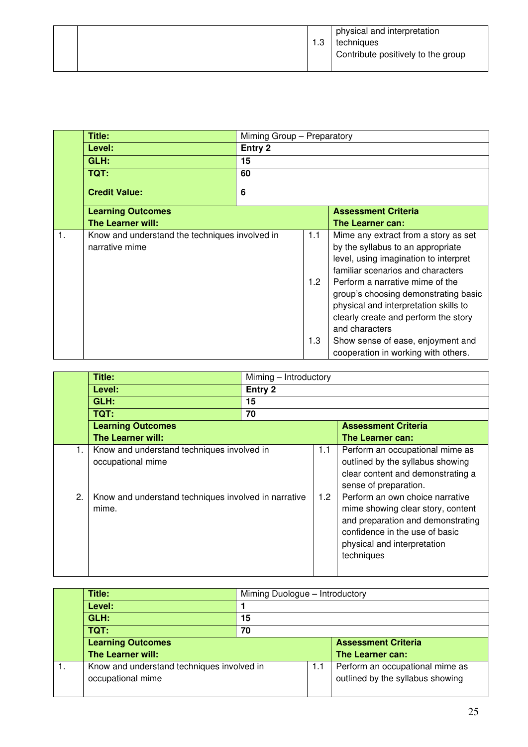|  | 3. ا | physical and interpretation<br>techniques<br>Contribute positively to the group |
|--|------|---------------------------------------------------------------------------------|
|--|------|---------------------------------------------------------------------------------|

|    | Title:                                                           | Miming Group - Preparatory |            |                                                                                                                                                                                                                                                                                                                                       |
|----|------------------------------------------------------------------|----------------------------|------------|---------------------------------------------------------------------------------------------------------------------------------------------------------------------------------------------------------------------------------------------------------------------------------------------------------------------------------------|
|    | Level:                                                           | Entry 2                    |            |                                                                                                                                                                                                                                                                                                                                       |
|    | GLH:                                                             | 15                         |            |                                                                                                                                                                                                                                                                                                                                       |
|    | TQT:                                                             | 60                         |            |                                                                                                                                                                                                                                                                                                                                       |
|    | <b>Credit Value:</b>                                             | 6                          |            |                                                                                                                                                                                                                                                                                                                                       |
|    | <b>Learning Outcomes</b>                                         |                            |            | <b>Assessment Criteria</b>                                                                                                                                                                                                                                                                                                            |
|    | <b>The Learner will:</b>                                         |                            |            | The Learner can:                                                                                                                                                                                                                                                                                                                      |
| 1. | Know and understand the techniques involved in<br>narrative mime |                            | 1.1<br>1.2 | Mime any extract from a story as set<br>by the syllabus to an appropriate<br>level, using imagination to interpret<br>familiar scenarios and characters<br>Perform a narrative mime of the<br>group's choosing demonstrating basic<br>physical and interpretation skills to<br>clearly create and perform the story<br>and characters |
|    |                                                                  |                            | 1.3        | Show sense of ease, enjoyment and<br>cooperation in working with others.                                                                                                                                                                                                                                                              |

|    | Title:                                                          |         | Miming - Introductory |                                                                                                                                                                                          |  |
|----|-----------------------------------------------------------------|---------|-----------------------|------------------------------------------------------------------------------------------------------------------------------------------------------------------------------------------|--|
|    | Level:                                                          | Entry 2 |                       |                                                                                                                                                                                          |  |
|    | GLH:                                                            | 15      |                       |                                                                                                                                                                                          |  |
|    | TQT:                                                            | 70      |                       |                                                                                                                                                                                          |  |
|    | <b>Learning Outcomes</b>                                        |         |                       | <b>Assessment Criteria</b>                                                                                                                                                               |  |
|    | <b>The Learner will:</b>                                        |         |                       | The Learner can:                                                                                                                                                                         |  |
| 1. | Know and understand techniques involved in<br>occupational mime |         | 1.1                   | Perform an occupational mime as<br>outlined by the syllabus showing<br>clear content and demonstrating a<br>sense of preparation.                                                        |  |
| 2. | Know and understand techniques involved in narrative<br>mime.   |         | 1.2 <sub>1</sub>      | Perform an own choice narrative<br>mime showing clear story, content<br>and preparation and demonstrating<br>confidence in the use of basic<br>physical and interpretation<br>techniques |  |

| Title:                                                          |    | Miming Duologue - Introductory |                                                                     |  |
|-----------------------------------------------------------------|----|--------------------------------|---------------------------------------------------------------------|--|
| Level:                                                          |    |                                |                                                                     |  |
| GLH:                                                            | 15 |                                |                                                                     |  |
| TQT:                                                            | 70 |                                |                                                                     |  |
| <b>Learning Outcomes</b>                                        |    |                                | <b>Assessment Criteria</b>                                          |  |
| The Learner will:                                               |    |                                | The Learner can:                                                    |  |
| Know and understand techniques involved in<br>occupational mime |    | 1.1                            | Perform an occupational mime as<br>outlined by the syllabus showing |  |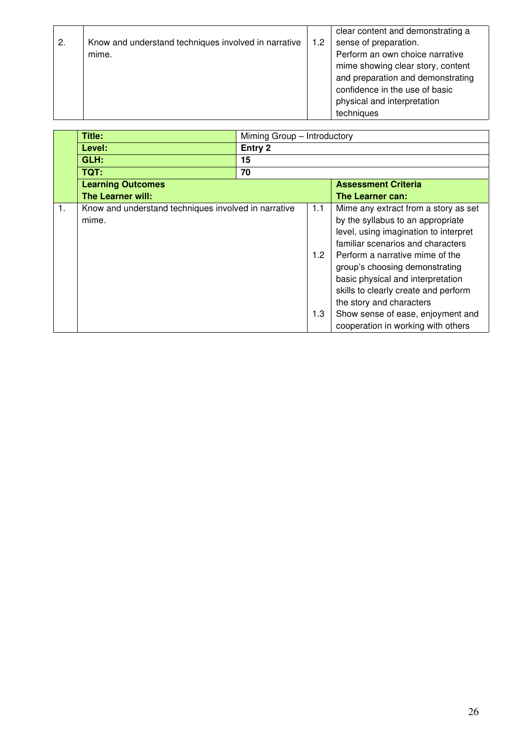| 2. | Know and understand techniques involved in narrative | 1.2 | clear content and demonstrating a<br>sense of preparation.                                                                                                                               |
|----|------------------------------------------------------|-----|------------------------------------------------------------------------------------------------------------------------------------------------------------------------------------------|
|    | mime.                                                |     | Perform an own choice narrative<br>mime showing clear story, content<br>and preparation and demonstrating<br>confidence in the use of basic<br>physical and interpretation<br>techniques |

|    | Title:                                                        | Miming Group - Introductory |                   |                                                                                                                                                                                                                                                                                                                                                                                                                  |  |
|----|---------------------------------------------------------------|-----------------------------|-------------------|------------------------------------------------------------------------------------------------------------------------------------------------------------------------------------------------------------------------------------------------------------------------------------------------------------------------------------------------------------------------------------------------------------------|--|
|    | Level:                                                        | Entry 2                     |                   |                                                                                                                                                                                                                                                                                                                                                                                                                  |  |
|    | GLH:                                                          | 15                          |                   |                                                                                                                                                                                                                                                                                                                                                                                                                  |  |
|    | <b>TQT:</b>                                                   | 70                          |                   |                                                                                                                                                                                                                                                                                                                                                                                                                  |  |
|    | <b>Learning Outcomes</b>                                      |                             |                   | <b>Assessment Criteria</b>                                                                                                                                                                                                                                                                                                                                                                                       |  |
|    | <b>The Learner will:</b>                                      |                             |                   | The Learner can:                                                                                                                                                                                                                                                                                                                                                                                                 |  |
| 1. | Know and understand techniques involved in narrative<br>mime. |                             | 1.1<br>1.2<br>1.3 | Mime any extract from a story as set<br>by the syllabus to an appropriate<br>level, using imagination to interpret<br>familiar scenarios and characters<br>Perform a narrative mime of the<br>group's choosing demonstrating<br>basic physical and interpretation<br>skills to clearly create and perform<br>the story and characters<br>Show sense of ease, enjoyment and<br>cooperation in working with others |  |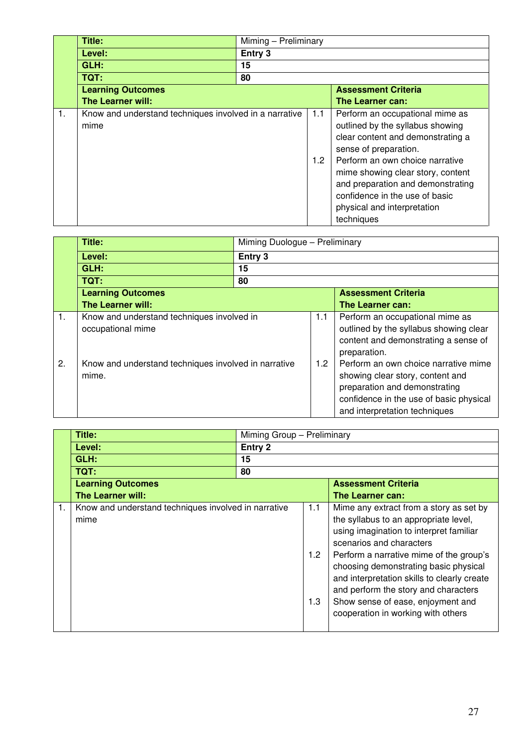|    | Title:                                                         |         | Miming - Preliminary    |                                                                                                                                                                                                                                                                                                                               |  |
|----|----------------------------------------------------------------|---------|-------------------------|-------------------------------------------------------------------------------------------------------------------------------------------------------------------------------------------------------------------------------------------------------------------------------------------------------------------------------|--|
|    | Level:                                                         | Entry 3 |                         |                                                                                                                                                                                                                                                                                                                               |  |
|    | GLH:                                                           | 15      |                         |                                                                                                                                                                                                                                                                                                                               |  |
|    | TQT:                                                           | 80      |                         |                                                                                                                                                                                                                                                                                                                               |  |
|    | <b>Learning Outcomes</b>                                       |         |                         | <b>Assessment Criteria</b>                                                                                                                                                                                                                                                                                                    |  |
|    | <b>The Learner will:</b>                                       |         |                         | The Learner can:                                                                                                                                                                                                                                                                                                              |  |
| 1. | Know and understand techniques involved in a narrative<br>mime |         | 1.1<br>1.2 <sub>2</sub> | Perform an occupational mime as<br>outlined by the syllabus showing<br>clear content and demonstrating a<br>sense of preparation.<br>Perform an own choice narrative<br>mime showing clear story, content<br>and preparation and demonstrating<br>confidence in the use of basic<br>physical and interpretation<br>techniques |  |

|    | Title:                                                          |         | Miming Duologue - Preliminary |                                                                                                                                                                                       |  |
|----|-----------------------------------------------------------------|---------|-------------------------------|---------------------------------------------------------------------------------------------------------------------------------------------------------------------------------------|--|
|    | Level:                                                          | Entry 3 |                               |                                                                                                                                                                                       |  |
|    | GLH:                                                            | 15      |                               |                                                                                                                                                                                       |  |
|    | TQT:                                                            | 80      |                               |                                                                                                                                                                                       |  |
|    | <b>Learning Outcomes</b>                                        |         |                               | <b>Assessment Criteria</b>                                                                                                                                                            |  |
|    | <b>The Learner will:</b>                                        |         |                               | The Learner can:                                                                                                                                                                      |  |
| 1. | Know and understand techniques involved in<br>occupational mime |         | 1.1                           | Perform an occupational mime as<br>outlined by the syllabus showing clear<br>content and demonstrating a sense of<br>preparation.                                                     |  |
| 2. | Know and understand techniques involved in narrative<br>mime.   |         | 1.2                           | Perform an own choice narrative mime<br>showing clear story, content and<br>preparation and demonstrating<br>confidence in the use of basic physical<br>and interpretation techniques |  |

|    | <b>Title:</b>                                                |         | Miming Group - Preliminary |                                                                                                                                                                                                                                                                                                                                                                                                               |  |
|----|--------------------------------------------------------------|---------|----------------------------|---------------------------------------------------------------------------------------------------------------------------------------------------------------------------------------------------------------------------------------------------------------------------------------------------------------------------------------------------------------------------------------------------------------|--|
|    | Level:                                                       | Entry 2 |                            |                                                                                                                                                                                                                                                                                                                                                                                                               |  |
|    | GLH:                                                         | 15      |                            |                                                                                                                                                                                                                                                                                                                                                                                                               |  |
|    | TQT:                                                         | 80      |                            |                                                                                                                                                                                                                                                                                                                                                                                                               |  |
|    | <b>Learning Outcomes</b>                                     |         |                            | <b>Assessment Criteria</b>                                                                                                                                                                                                                                                                                                                                                                                    |  |
|    | <b>The Learner will:</b>                                     |         |                            | The Learner can:                                                                                                                                                                                                                                                                                                                                                                                              |  |
| 1. | Know and understand techniques involved in narrative<br>mime |         | 1.1<br>1.2<br>1.3          | Mime any extract from a story as set by<br>the syllabus to an appropriate level,<br>using imagination to interpret familiar<br>scenarios and characters<br>Perform a narrative mime of the group's<br>choosing demonstrating basic physical<br>and interpretation skills to clearly create<br>and perform the story and characters<br>Show sense of ease, enjoyment and<br>cooperation in working with others |  |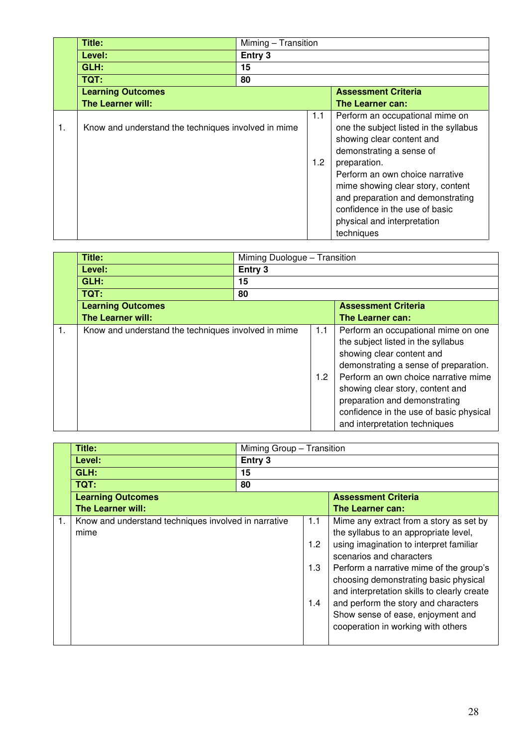|    | Title:                                              |         | Miming - Transition |                                                                                                                                                                                                                                                                                                                                                |  |
|----|-----------------------------------------------------|---------|---------------------|------------------------------------------------------------------------------------------------------------------------------------------------------------------------------------------------------------------------------------------------------------------------------------------------------------------------------------------------|--|
|    | Level:                                              | Entry 3 |                     |                                                                                                                                                                                                                                                                                                                                                |  |
|    | GLH:                                                | 15      |                     |                                                                                                                                                                                                                                                                                                                                                |  |
|    | TQT:                                                | 80      |                     |                                                                                                                                                                                                                                                                                                                                                |  |
|    | <b>Learning Outcomes</b>                            |         |                     | <b>Assessment Criteria</b>                                                                                                                                                                                                                                                                                                                     |  |
|    | The Learner will:                                   |         |                     | The Learner can:                                                                                                                                                                                                                                                                                                                               |  |
| 1. | Know and understand the techniques involved in mime |         | 1.1<br>1.2          | Perform an occupational mime on<br>one the subject listed in the syllabus<br>showing clear content and<br>demonstrating a sense of<br>preparation.<br>Perform an own choice narrative<br>mime showing clear story, content<br>and preparation and demonstrating<br>confidence in the use of basic<br>physical and interpretation<br>techniques |  |

|    | Title:                                              |         | Miming Duologue - Transition |                                                                                                                                                                                                                                                                                                                                          |  |
|----|-----------------------------------------------------|---------|------------------------------|------------------------------------------------------------------------------------------------------------------------------------------------------------------------------------------------------------------------------------------------------------------------------------------------------------------------------------------|--|
|    | Level:                                              | Entry 3 |                              |                                                                                                                                                                                                                                                                                                                                          |  |
|    | GLH:                                                | 15      |                              |                                                                                                                                                                                                                                                                                                                                          |  |
|    | TQT:                                                | 80      |                              |                                                                                                                                                                                                                                                                                                                                          |  |
|    | <b>Learning Outcomes</b>                            |         |                              | <b>Assessment Criteria</b>                                                                                                                                                                                                                                                                                                               |  |
|    | <b>The Learner will:</b>                            |         |                              | <b>The Learner can:</b>                                                                                                                                                                                                                                                                                                                  |  |
| 1. | Know and understand the techniques involved in mime |         | 1.1<br>1.2                   | Perform an occupational mime on one<br>the subject listed in the syllabus<br>showing clear content and<br>demonstrating a sense of preparation.<br>Perform an own choice narrative mime<br>showing clear story, content and<br>preparation and demonstrating<br>confidence in the use of basic physical<br>and interpretation techniques |  |

|    | Title:                                                       |         | Miming Group - Transition |                                                                                                                                                                                                                                                                                                                                                                                                               |  |  |
|----|--------------------------------------------------------------|---------|---------------------------|---------------------------------------------------------------------------------------------------------------------------------------------------------------------------------------------------------------------------------------------------------------------------------------------------------------------------------------------------------------------------------------------------------------|--|--|
|    | Level:                                                       | Entry 3 |                           |                                                                                                                                                                                                                                                                                                                                                                                                               |  |  |
|    | GLH:                                                         | 15      |                           |                                                                                                                                                                                                                                                                                                                                                                                                               |  |  |
|    | TQT:                                                         | 80      |                           |                                                                                                                                                                                                                                                                                                                                                                                                               |  |  |
|    | <b>Learning Outcomes</b>                                     |         |                           | <b>Assessment Criteria</b>                                                                                                                                                                                                                                                                                                                                                                                    |  |  |
|    | <b>The Learner will:</b>                                     |         |                           | The Learner can:                                                                                                                                                                                                                                                                                                                                                                                              |  |  |
| 1. | Know and understand techniques involved in narrative<br>mime |         | 1.1<br>1.2<br>1.3<br>1.4  | Mime any extract from a story as set by<br>the syllabus to an appropriate level,<br>using imagination to interpret familiar<br>scenarios and characters<br>Perform a narrative mime of the group's<br>choosing demonstrating basic physical<br>and interpretation skills to clearly create<br>and perform the story and characters<br>Show sense of ease, enjoyment and<br>cooperation in working with others |  |  |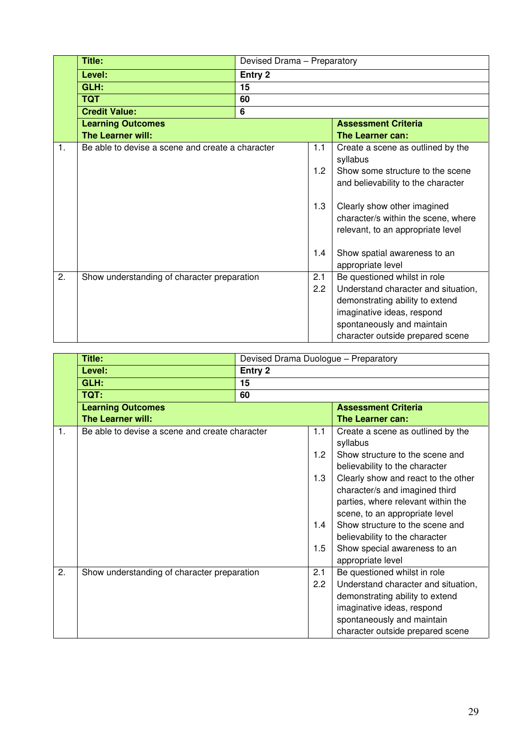|                | Title:                                           |                | Devised Drama - Preparatory |                                                                                                                                                                                                        |  |
|----------------|--------------------------------------------------|----------------|-----------------------------|--------------------------------------------------------------------------------------------------------------------------------------------------------------------------------------------------------|--|
|                | Level:                                           | Entry 2        |                             |                                                                                                                                                                                                        |  |
|                | GLH:                                             | 15             |                             |                                                                                                                                                                                                        |  |
|                | <b>TQT</b>                                       | 60             |                             |                                                                                                                                                                                                        |  |
|                | <b>Credit Value:</b>                             | $6\phantom{1}$ |                             |                                                                                                                                                                                                        |  |
|                | <b>Learning Outcomes</b>                         |                |                             | <b>Assessment Criteria</b>                                                                                                                                                                             |  |
|                | The Learner will:                                |                |                             | The Learner can:                                                                                                                                                                                       |  |
| $\mathbf{1}$ . | Be able to devise a scene and create a character |                | 1.1                         | Create a scene as outlined by the<br>syllabus                                                                                                                                                          |  |
|                |                                                  |                | 1.2                         | Show some structure to the scene<br>and believability to the character                                                                                                                                 |  |
|                |                                                  |                | 1.3                         | Clearly show other imagined<br>character/s within the scene, where<br>relevant, to an appropriate level                                                                                                |  |
|                |                                                  |                | 1.4                         | Show spatial awareness to an<br>appropriate level                                                                                                                                                      |  |
| 2.             | Show understanding of character preparation      |                | 2.1<br>2.2                  | Be questioned whilst in role<br>Understand character and situation,<br>demonstrating ability to extend<br>imaginative ideas, respond<br>spontaneously and maintain<br>character outside prepared scene |  |

|    | Title:                                         |         |     | Devised Drama Duologue - Preparatory |  |
|----|------------------------------------------------|---------|-----|--------------------------------------|--|
|    | Level:                                         | Entry 2 |     |                                      |  |
|    | GLH:                                           | 15      |     |                                      |  |
|    | TQT:                                           | 60      |     |                                      |  |
|    | <b>Learning Outcomes</b>                       |         |     | <b>Assessment Criteria</b>           |  |
|    | The Learner will:                              |         |     | The Learner can:                     |  |
| 1. | Be able to devise a scene and create character |         | 1.1 | Create a scene as outlined by the    |  |
|    |                                                |         |     | syllabus                             |  |
|    |                                                |         | 1.2 | Show structure to the scene and      |  |
|    |                                                |         |     | believability to the character       |  |
|    |                                                |         | 1.3 | Clearly show and react to the other  |  |
|    |                                                |         |     | character/s and imagined third       |  |
|    |                                                |         |     | parties, where relevant within the   |  |
|    |                                                |         |     | scene, to an appropriate level       |  |
|    |                                                |         | 1.4 | Show structure to the scene and      |  |
|    |                                                |         |     | believability to the character       |  |
|    |                                                |         | 1.5 | Show special awareness to an         |  |
|    |                                                |         |     | appropriate level                    |  |
| 2. | Show understanding of character preparation    |         | 2.1 | Be questioned whilst in role         |  |
|    |                                                |         | 2.2 | Understand character and situation,  |  |
|    |                                                |         |     | demonstrating ability to extend      |  |
|    |                                                |         |     | imaginative ideas, respond           |  |
|    |                                                |         |     | spontaneously and maintain           |  |
|    |                                                |         |     | character outside prepared scene     |  |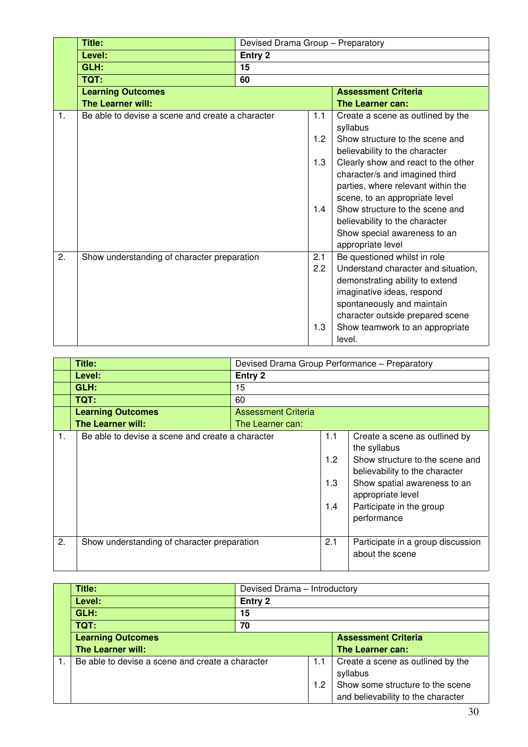|    | <b>Title:</b>                                    |                | Devised Drama Group - Preparatory |                                     |  |
|----|--------------------------------------------------|----------------|-----------------------------------|-------------------------------------|--|
|    | Level:                                           | <b>Entry 2</b> |                                   |                                     |  |
|    | GLH:                                             | 15             |                                   |                                     |  |
|    | TQT:                                             | 60             |                                   |                                     |  |
|    | <b>Learning Outcomes</b>                         |                |                                   | <b>Assessment Criteria</b>          |  |
|    | The Learner will:                                |                |                                   | The Learner can:                    |  |
| 1. | Be able to devise a scene and create a character |                | 1.1                               | Create a scene as outlined by the   |  |
|    |                                                  |                |                                   | syllabus                            |  |
|    |                                                  |                | 1.2                               | Show structure to the scene and     |  |
|    |                                                  |                |                                   | believability to the character      |  |
|    |                                                  |                | 1.3                               | Clearly show and react to the other |  |
|    |                                                  |                |                                   | character/s and imagined third      |  |
|    |                                                  |                |                                   | parties, where relevant within the  |  |
|    |                                                  |                |                                   | scene, to an appropriate level      |  |
|    |                                                  |                | 1.4                               | Show structure to the scene and     |  |
|    |                                                  |                |                                   | believability to the character      |  |
|    |                                                  |                |                                   | Show special awareness to an        |  |
|    |                                                  |                |                                   | appropriate level                   |  |
| 2. | Show understanding of character preparation      |                | 2.1                               | Be questioned whilst in role        |  |
|    |                                                  |                | 2.2                               | Understand character and situation, |  |
|    |                                                  |                |                                   | demonstrating ability to extend     |  |
|    |                                                  |                |                                   | imaginative ideas, respond          |  |
|    |                                                  |                |                                   | spontaneously and maintain          |  |
|    |                                                  |                |                                   | character outside prepared scene    |  |
|    |                                                  |                | 1.3                               | Show teamwork to an appropriate     |  |
|    |                                                  |                |                                   | level.                              |  |

|    | Title:                                           |                            |                          | Devised Drama Group Performance - Preparatory                                                                                                                                                                      |  |
|----|--------------------------------------------------|----------------------------|--------------------------|--------------------------------------------------------------------------------------------------------------------------------------------------------------------------------------------------------------------|--|
|    | Level:                                           | Entry 2                    |                          |                                                                                                                                                                                                                    |  |
|    | GLH:                                             | 15                         |                          |                                                                                                                                                                                                                    |  |
|    | TQT:                                             | 60                         |                          |                                                                                                                                                                                                                    |  |
|    | <b>Learning Outcomes</b>                         | <b>Assessment Criteria</b> |                          |                                                                                                                                                                                                                    |  |
|    | The Learner will:                                | The Learner can:           |                          |                                                                                                                                                                                                                    |  |
| 1. | Be able to devise a scene and create a character |                            | 1.1<br>1.2<br>1.3<br>1.4 | Create a scene as outlined by<br>the syllabus<br>Show structure to the scene and<br>believability to the character<br>Show spatial awareness to an<br>appropriate level<br>Participate in the group<br>performance |  |
| 2. | Show understanding of character preparation      |                            | 2.1                      | Participate in a group discussion<br>about the scene                                                                                                                                                               |  |

| Title:                                           | Devised Drama - Introductory |     |                                                                        |
|--------------------------------------------------|------------------------------|-----|------------------------------------------------------------------------|
| Level:                                           | Entry 2                      |     |                                                                        |
| GLH:                                             | 15                           |     |                                                                        |
| TQT:                                             | 70                           |     |                                                                        |
| <b>Learning Outcomes</b>                         |                              |     | <b>Assessment Criteria</b>                                             |
| <b>The Learner will:</b>                         |                              |     | The Learner can:                                                       |
| Be able to devise a scene and create a character |                              | 1.1 | Create a scene as outlined by the<br>syllabus                          |
|                                                  |                              | 1.2 | Show some structure to the scene<br>and believability to the character |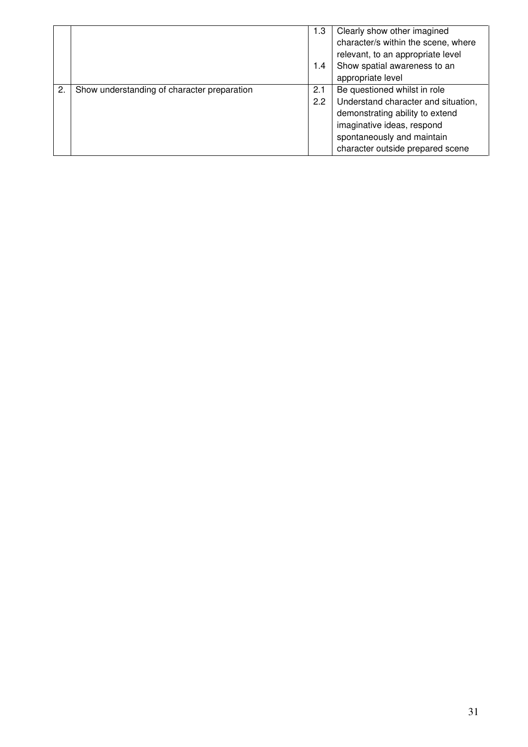|    |                                             | 1.3 | Clearly show other imagined         |
|----|---------------------------------------------|-----|-------------------------------------|
|    |                                             |     | character/s within the scene, where |
|    |                                             |     | relevant, to an appropriate level   |
|    |                                             | 1.4 | Show spatial awareness to an        |
|    |                                             |     | appropriate level                   |
| 2. | Show understanding of character preparation | 2.1 | Be questioned whilst in role        |
|    |                                             | 2.2 | Understand character and situation, |
|    |                                             |     | demonstrating ability to extend     |
|    |                                             |     | imaginative ideas, respond          |
|    |                                             |     | spontaneously and maintain          |
|    |                                             |     | character outside prepared scene    |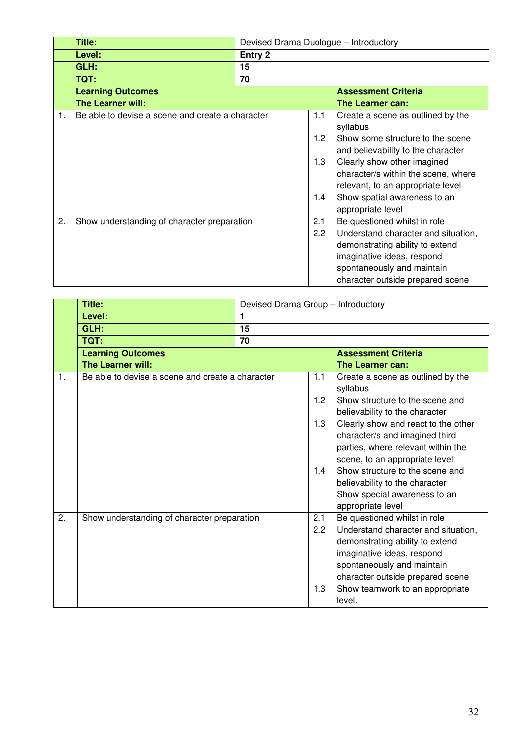|    | Title:                                           |         |               | Devised Drama Duologue - Introductory                                  |
|----|--------------------------------------------------|---------|---------------|------------------------------------------------------------------------|
|    | Level:                                           | Entry 2 |               |                                                                        |
|    | GLH:                                             | 15      |               |                                                                        |
|    | <b>TQT:</b>                                      | 70      |               |                                                                        |
|    | <b>Learning Outcomes</b>                         |         |               | <b>Assessment Criteria</b>                                             |
|    | The Learner will:                                |         |               | The Learner can:                                                       |
| 1. | Be able to devise a scene and create a character |         | 1.1           | Create a scene as outlined by the<br>syllabus                          |
|    |                                                  |         | 1.2           | Show some structure to the scene<br>and believability to the character |
|    |                                                  |         | 1.3           | Clearly show other imagined                                            |
|    |                                                  |         |               | character/s within the scene, where                                    |
|    |                                                  |         |               | relevant, to an appropriate level                                      |
|    |                                                  |         | 1.4           | Show spatial awareness to an                                           |
|    |                                                  |         |               | appropriate level                                                      |
| 2. | Show understanding of character preparation      |         | 2.1           | Be questioned whilst in role                                           |
|    |                                                  |         | $2.2^{\circ}$ | Understand character and situation,                                    |
|    |                                                  |         |               | demonstrating ability to extend                                        |
|    |                                                  |         |               | imaginative ideas, respond                                             |
|    |                                                  |         |               | spontaneously and maintain                                             |
|    |                                                  |         |               | character outside prepared scene                                       |

|    | <b>Title:</b>                                    | Devised Drama Group - Introductory |     |                                                                       |  |
|----|--------------------------------------------------|------------------------------------|-----|-----------------------------------------------------------------------|--|
|    | Level:                                           | $\blacksquare$                     |     |                                                                       |  |
|    | GLH:                                             | 15                                 |     |                                                                       |  |
|    | TQT:                                             | 70                                 |     |                                                                       |  |
|    | <b>Learning Outcomes</b>                         |                                    |     | <b>Assessment Criteria</b>                                            |  |
|    | The Learner will:                                |                                    |     | The Learner can:                                                      |  |
| 1. | Be able to devise a scene and create a character |                                    | 1.1 | Create a scene as outlined by the<br>syllabus                         |  |
|    |                                                  |                                    | 1.2 | Show structure to the scene and<br>believability to the character     |  |
|    |                                                  |                                    | 1.3 | Clearly show and react to the other<br>character/s and imagined third |  |
|    |                                                  |                                    |     | parties, where relevant within the<br>scene, to an appropriate level  |  |
|    |                                                  |                                    | 1.4 | Show structure to the scene and                                       |  |
|    |                                                  |                                    |     | believability to the character                                        |  |
|    |                                                  |                                    |     | Show special awareness to an                                          |  |
|    |                                                  |                                    |     | appropriate level                                                     |  |
| 2. | Show understanding of character preparation      |                                    | 2.1 | Be questioned whilst in role                                          |  |
|    |                                                  |                                    | 2.2 | Understand character and situation,                                   |  |
|    |                                                  |                                    |     | demonstrating ability to extend                                       |  |
|    |                                                  |                                    |     | imaginative ideas, respond                                            |  |
|    |                                                  |                                    |     | spontaneously and maintain                                            |  |
|    |                                                  |                                    |     | character outside prepared scene                                      |  |
|    |                                                  |                                    | 1.3 | Show teamwork to an appropriate                                       |  |
|    |                                                  |                                    |     | level.                                                                |  |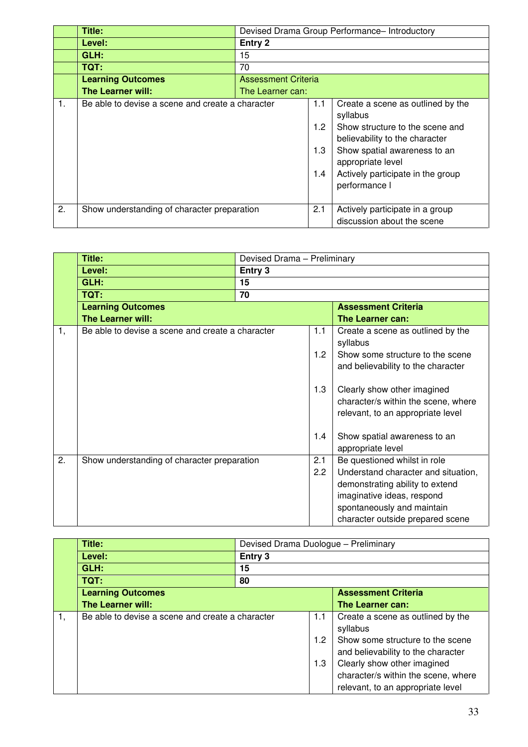|    | Title:                                           |                            | Devised Drama Group Performance- Introductory |                                                                                                                                                                                                                               |  |
|----|--------------------------------------------------|----------------------------|-----------------------------------------------|-------------------------------------------------------------------------------------------------------------------------------------------------------------------------------------------------------------------------------|--|
|    | Level:                                           | Entry 2                    |                                               |                                                                                                                                                                                                                               |  |
|    | GLH:                                             | 15                         |                                               |                                                                                                                                                                                                                               |  |
|    | TQT:                                             | 70                         |                                               |                                                                                                                                                                                                                               |  |
|    | <b>Learning Outcomes</b>                         | <b>Assessment Criteria</b> |                                               |                                                                                                                                                                                                                               |  |
|    | <b>The Learner will:</b>                         | The Learner can:           |                                               |                                                                                                                                                                                                                               |  |
| 1. | Be able to devise a scene and create a character |                            | 1.1<br>1.2 <sub>1</sub><br>1.3<br>1.4         | Create a scene as outlined by the<br>syllabus<br>Show structure to the scene and<br>believability to the character<br>Show spatial awareness to an<br>appropriate level<br>Actively participate in the group<br>performance I |  |
| 2. | Show understanding of character preparation      |                            | 2.1                                           | Actively participate in a group<br>discussion about the scene                                                                                                                                                                 |  |

|    | Title:                                           | Devised Drama - Preliminary |            |                                                                                                                                                                                                        |  |
|----|--------------------------------------------------|-----------------------------|------------|--------------------------------------------------------------------------------------------------------------------------------------------------------------------------------------------------------|--|
|    | Level:                                           | Entry 3                     |            |                                                                                                                                                                                                        |  |
|    | GLH:                                             | 15                          |            |                                                                                                                                                                                                        |  |
|    | TQT:                                             | 70                          |            |                                                                                                                                                                                                        |  |
|    | <b>Learning Outcomes</b>                         |                             |            | <b>Assessment Criteria</b>                                                                                                                                                                             |  |
|    | <b>The Learner will:</b>                         |                             |            | The Learner can:                                                                                                                                                                                       |  |
| 1, | Be able to devise a scene and create a character |                             | 1.1        | Create a scene as outlined by the<br>syllabus                                                                                                                                                          |  |
|    |                                                  |                             | 1.2        | Show some structure to the scene<br>and believability to the character                                                                                                                                 |  |
|    |                                                  |                             | 1.3        | Clearly show other imagined<br>character/s within the scene, where<br>relevant, to an appropriate level                                                                                                |  |
|    |                                                  |                             | 1.4        | Show spatial awareness to an<br>appropriate level                                                                                                                                                      |  |
| 2. | Show understanding of character preparation      |                             | 2.1<br>2.2 | Be questioned whilst in role<br>Understand character and situation,<br>demonstrating ability to extend<br>imaginative ideas, respond<br>spontaneously and maintain<br>character outside prepared scene |  |

|    | Title:                                           | Devised Drama Duologue - Preliminary |     |                                     |  |
|----|--------------------------------------------------|--------------------------------------|-----|-------------------------------------|--|
|    | Level:                                           | Entry 3                              |     |                                     |  |
|    | GLH:                                             | 15                                   |     |                                     |  |
|    | TQT:                                             | 80                                   |     |                                     |  |
|    | <b>Learning Outcomes</b>                         | <b>Assessment Criteria</b>           |     |                                     |  |
|    | The Learner will:                                |                                      |     | The Learner can:                    |  |
| 1. | Be able to devise a scene and create a character |                                      | 1.1 | Create a scene as outlined by the   |  |
|    |                                                  |                                      |     | syllabus                            |  |
|    |                                                  |                                      | 1.2 | Show some structure to the scene    |  |
|    |                                                  |                                      |     | and believability to the character  |  |
|    |                                                  |                                      | 1.3 | Clearly show other imagined         |  |
|    |                                                  |                                      |     | character/s within the scene, where |  |
|    |                                                  |                                      |     | relevant, to an appropriate level   |  |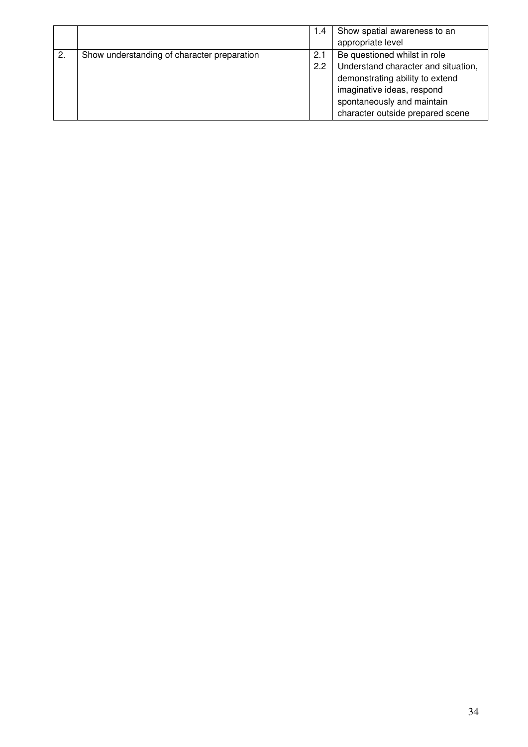|    |                                             | 1.4 | Show spatial awareness to an        |
|----|---------------------------------------------|-----|-------------------------------------|
|    |                                             |     | appropriate level                   |
| 2. | Show understanding of character preparation | 2.1 | Be questioned whilst in role        |
|    |                                             | 2.2 | Understand character and situation, |
|    |                                             |     | demonstrating ability to extend     |
|    |                                             |     | imaginative ideas, respond          |
|    |                                             |     | spontaneously and maintain          |
|    |                                             |     | character outside prepared scene    |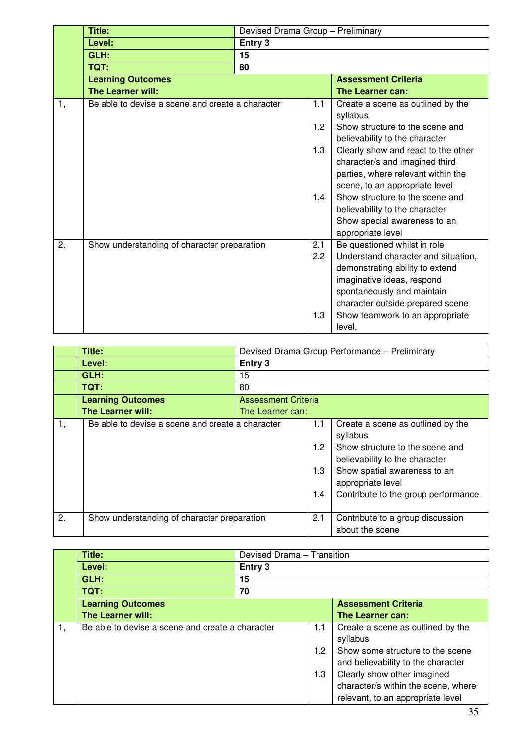|    | <b>Title:</b>                                    | Devised Drama Group - Preliminary |     |                                                                   |
|----|--------------------------------------------------|-----------------------------------|-----|-------------------------------------------------------------------|
|    | Level:                                           | Entry 3                           |     |                                                                   |
|    | GLH:                                             | 15                                |     |                                                                   |
|    | TQT:                                             | 80                                |     |                                                                   |
|    | <b>Learning Outcomes</b>                         |                                   |     | <b>Assessment Criteria</b>                                        |
|    | The Learner will:                                |                                   |     | The Learner can:                                                  |
| 1, | Be able to devise a scene and create a character |                                   | 1.1 | Create a scene as outlined by the                                 |
|    |                                                  |                                   |     | syllabus                                                          |
|    |                                                  |                                   | 1.2 | Show structure to the scene and<br>believability to the character |
|    |                                                  |                                   | 1.3 | Clearly show and react to the other                               |
|    |                                                  |                                   |     | character/s and imagined third                                    |
|    |                                                  |                                   |     | parties, where relevant within the                                |
|    |                                                  |                                   |     | scene, to an appropriate level                                    |
|    |                                                  |                                   | 1.4 | Show structure to the scene and                                   |
|    |                                                  |                                   |     | believability to the character                                    |
|    |                                                  |                                   |     | Show special awareness to an                                      |
|    |                                                  |                                   |     | appropriate level                                                 |
| 2. | Show understanding of character preparation      |                                   | 2.1 | Be questioned whilst in role                                      |
|    |                                                  |                                   | 2.2 | Understand character and situation,                               |
|    |                                                  |                                   |     | demonstrating ability to extend                                   |
|    |                                                  |                                   |     | imaginative ideas, respond                                        |
|    |                                                  |                                   |     | spontaneously and maintain                                        |
|    |                                                  |                                   |     | character outside prepared scene                                  |
|    |                                                  |                                   | 1.3 | Show teamwork to an appropriate                                   |
|    |                                                  |                                   |     | level.                                                            |

|    | Title:                                           |                            | Devised Drama Group Performance - Preliminary |                                                                                                                                                                                                                |  |
|----|--------------------------------------------------|----------------------------|-----------------------------------------------|----------------------------------------------------------------------------------------------------------------------------------------------------------------------------------------------------------------|--|
|    | Level:                                           | Entry 3                    |                                               |                                                                                                                                                                                                                |  |
|    | GLH:                                             | 15                         |                                               |                                                                                                                                                                                                                |  |
|    | TQT:                                             | 80                         |                                               |                                                                                                                                                                                                                |  |
|    | <b>Learning Outcomes</b>                         | <b>Assessment Criteria</b> |                                               |                                                                                                                                                                                                                |  |
|    | <b>The Learner will:</b>                         | The Learner can:           |                                               |                                                                                                                                                                                                                |  |
| 1, | Be able to devise a scene and create a character |                            | 1.1<br>1.2<br>1.3<br>1.4                      | Create a scene as outlined by the<br>syllabus<br>Show structure to the scene and<br>believability to the character<br>Show spatial awareness to an<br>appropriate level<br>Contribute to the group performance |  |
| 2. | Show understanding of character preparation      |                            | 2.1                                           | Contribute to a group discussion<br>about the scene                                                                                                                                                            |  |

|    | <b>Title:</b>                                    |         | Devised Drama - Transition |                                     |  |
|----|--------------------------------------------------|---------|----------------------------|-------------------------------------|--|
|    | Level:                                           | Entry 3 |                            |                                     |  |
|    | GLH:                                             | 15      |                            |                                     |  |
|    | TQT:                                             | 70      |                            |                                     |  |
|    | <b>Learning Outcomes</b>                         |         |                            | <b>Assessment Criteria</b>          |  |
|    | <b>The Learner will:</b>                         |         |                            | The Learner can:                    |  |
| 1. | Be able to devise a scene and create a character |         | 1.1                        | Create a scene as outlined by the   |  |
|    |                                                  |         |                            | syllabus                            |  |
|    |                                                  |         | 1.2                        | Show some structure to the scene    |  |
|    |                                                  |         |                            | and believability to the character  |  |
|    |                                                  |         | 1.3                        | Clearly show other imagined         |  |
|    |                                                  |         |                            | character/s within the scene, where |  |
|    |                                                  |         |                            | relevant, to an appropriate level   |  |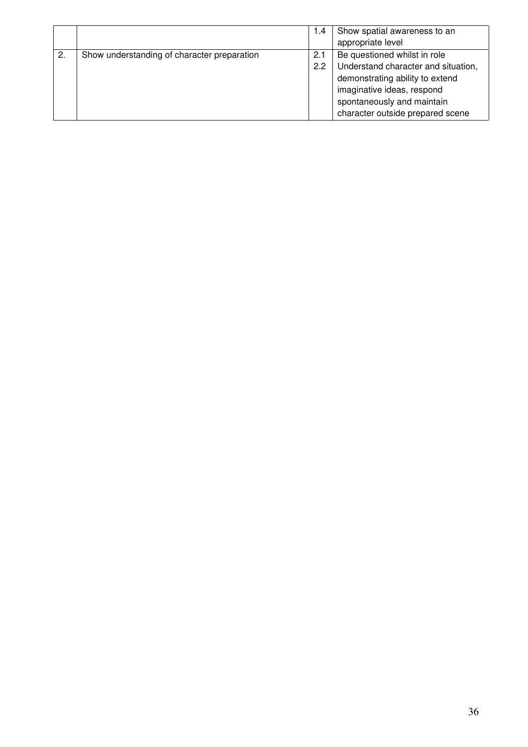|    |                                             | 1.4 | Show spatial awareness to an        |
|----|---------------------------------------------|-----|-------------------------------------|
|    |                                             |     | appropriate level                   |
| 2. | Show understanding of character preparation | 2.1 | Be questioned whilst in role        |
|    |                                             | 2.2 | Understand character and situation, |
|    |                                             |     | demonstrating ability to extend     |
|    |                                             |     | imaginative ideas, respond          |
|    |                                             |     | spontaneously and maintain          |
|    |                                             |     | character outside prepared scene    |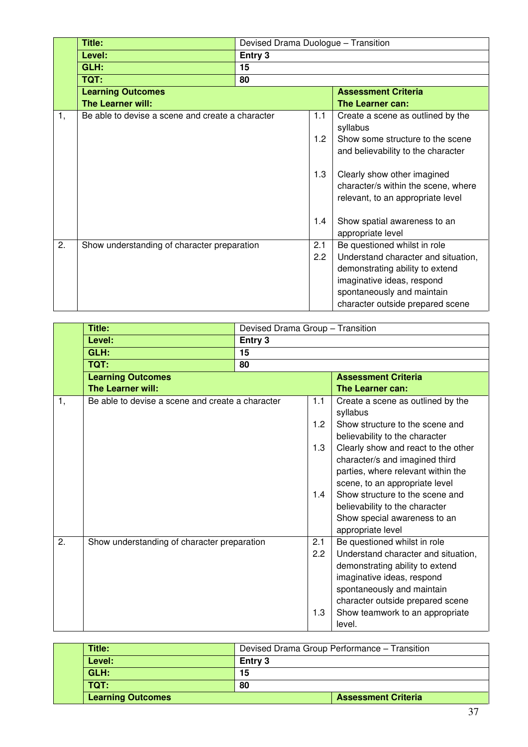|    | <b>Title:</b>                                    | Devised Drama Duologue - Transition<br>Entry 3<br>15<br>80 |     |                                     |
|----|--------------------------------------------------|------------------------------------------------------------|-----|-------------------------------------|
|    | Level:                                           |                                                            |     |                                     |
|    | GLH:                                             |                                                            |     |                                     |
|    | <b>TQT:</b>                                      |                                                            |     |                                     |
|    | <b>Learning Outcomes</b>                         |                                                            |     | <b>Assessment Criteria</b>          |
|    | <b>The Learner will:</b>                         |                                                            |     | The Learner can:                    |
| 1, | Be able to devise a scene and create a character |                                                            | 1.1 | Create a scene as outlined by the   |
|    |                                                  |                                                            |     | syllabus                            |
|    |                                                  |                                                            | 1.2 | Show some structure to the scene    |
|    |                                                  |                                                            |     | and believability to the character  |
|    |                                                  |                                                            |     |                                     |
|    |                                                  |                                                            | 1.3 | Clearly show other imagined         |
|    |                                                  |                                                            |     | character/s within the scene, where |
|    |                                                  |                                                            |     | relevant, to an appropriate level   |
|    |                                                  |                                                            |     |                                     |
|    |                                                  |                                                            | 1.4 | Show spatial awareness to an        |
|    |                                                  |                                                            |     | appropriate level                   |
| 2. | Show understanding of character preparation      |                                                            | 2.1 | Be questioned whilst in role        |
|    |                                                  |                                                            | 2.2 | Understand character and situation, |
|    |                                                  |                                                            |     | demonstrating ability to extend     |
|    |                                                  |                                                            |     | imaginative ideas, respond          |
|    |                                                  |                                                            |     | spontaneously and maintain          |
|    |                                                  |                                                            |     | character outside prepared scene    |

|    | <b>Title:</b>                                    | Devised Drama Group - Transition                                                      |     |                                                                   |
|----|--------------------------------------------------|---------------------------------------------------------------------------------------|-----|-------------------------------------------------------------------|
|    | Level:                                           | Entry 3                                                                               |     |                                                                   |
|    | GLH:                                             | 15<br>TQT:<br>80<br><b>Learning Outcomes</b><br>The Learner will:<br>The Learner can: |     |                                                                   |
|    |                                                  |                                                                                       |     |                                                                   |
|    |                                                  |                                                                                       |     | <b>Assessment Criteria</b>                                        |
|    |                                                  |                                                                                       |     |                                                                   |
| 1, | Be able to devise a scene and create a character |                                                                                       | 1.1 | Create a scene as outlined by the                                 |
|    |                                                  |                                                                                       |     | syllabus                                                          |
|    |                                                  |                                                                                       | 1.2 | Show structure to the scene and                                   |
|    |                                                  |                                                                                       |     | believability to the character                                    |
|    |                                                  |                                                                                       | 1.3 | Clearly show and react to the other                               |
|    |                                                  |                                                                                       |     | character/s and imagined third                                    |
|    |                                                  |                                                                                       |     | parties, where relevant within the                                |
|    |                                                  |                                                                                       | 1.4 | scene, to an appropriate level<br>Show structure to the scene and |
|    |                                                  |                                                                                       |     | believability to the character                                    |
|    |                                                  |                                                                                       |     | Show special awareness to an                                      |
|    |                                                  |                                                                                       |     | appropriate level                                                 |
| 2. | Show understanding of character preparation      |                                                                                       | 2.1 | Be questioned whilst in role                                      |
|    |                                                  |                                                                                       | 2.2 | Understand character and situation,                               |
|    |                                                  |                                                                                       |     | demonstrating ability to extend                                   |
|    |                                                  |                                                                                       |     | imaginative ideas, respond                                        |
|    |                                                  |                                                                                       |     | spontaneously and maintain                                        |
|    |                                                  |                                                                                       |     | character outside prepared scene                                  |
|    |                                                  |                                                                                       | 1.3 | Show teamwork to an appropriate                                   |
|    |                                                  |                                                                                       |     | level.                                                            |

| Title:                   | Devised Drama Group Performance - Transition |                            |
|--------------------------|----------------------------------------------|----------------------------|
| Level:                   | <b>Entry 3</b>                               |                            |
| GLH:                     | 15                                           |                            |
| TOT:                     | 80                                           |                            |
| <b>Learning Outcomes</b> |                                              | <b>Assessment Criteria</b> |